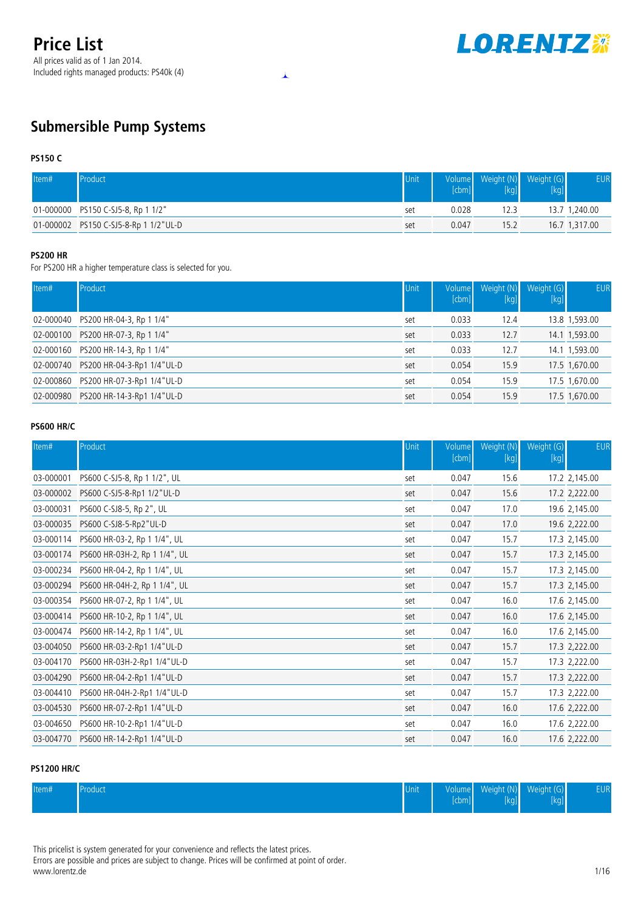

## **Submersible Pump Systems**

#### **PS150 C**

| Item# | Product                               | Unit | [cbml] | Volume Weight (N) Weight (G) | <b>EUR</b>    |
|-------|---------------------------------------|------|--------|------------------------------|---------------|
|       | 01-000000 PS150 C-SJ5-8, Rp 1 1/2"    | set  | 0.028  | 12.3                         | 13.7 1,240.00 |
|       | 01-000002 PS150 C-SJ5-8-Rp 1 1/2"UL-D | set  | 0.047  | 15.2                         | 16.7 1,317.00 |

 $\overline{\textbf{r}}$ 

### **PS200 HR**

For PS200 HR a higher temperature class is selected for you.

| Item#     | Product                              | Unit | Volume<br>[cbm] | Weight (N)<br>[kg] | Weight (G)<br>[kg] | <b>EUR</b>    |
|-----------|--------------------------------------|------|-----------------|--------------------|--------------------|---------------|
| 02-000040 | PS200 HR-04-3, Rp 1 1/4"             | set  | 0.033           | 12.4               |                    | 13.8 1,593.00 |
|           | 02-000100 PS200 HR-07-3, Rp 1 1/4"   | set  | 0.033           | 12.7               |                    | 14.1 1,593.00 |
|           | 02-000160 PS200 HR-14-3, Rp 1 1/4"   | set  | 0.033           | 12.7               |                    | 14.1 1,593.00 |
|           | 02-000740 PS200 HR-04-3-Rp1 1/4"UL-D | set  | 0.054           | 15.9               |                    | 17.5 1,670.00 |
|           | 02-000860 PS200 HR-07-3-Rp1 1/4"UL-D | set  | 0.054           | 15.9               |                    | 17.5 1,670.00 |
|           | 02-000980 PS200 HR-14-3-Rp1 1/4"UL-D | set  | 0.054           | 15.9               |                    | 17.5 1,670.00 |

#### **PS600 HR/C**

| Item#     | Product                                  | Unit | Volume<br>[cbm] | Weight (N)<br>$[kg] % \begin{center} % \includegraphics[width=\linewidth]{imagesSupplemental/Imetad-Architecture.png} % \end{center} % \caption { % \begin{subfigure}{0.35\textwidth} \includegraphics[width=\linewidth]{imagesSupplemental/Imetad-Architecture.png} } % \end{subfigure} % \begin{subfigure}{0.35\textwidth} \includegraphics[width=\linewidth]{imagesSupplemental/Imetad-Architecture.png} } % \end{subfigure} % \caption { % \begin{subfigure}{0.35\textwidth} \includegraphics[width=\linewidth]{imagesSupplemental/Imetad-Architecture.png} } % \end{subfigure} % \caption{ % \begin{subfigure}{0.35\textwidth} \includegraphics[width=\linewidth]{imagesSupplemental/Imetad-Architecture.png} } % \$ | Weight (G)<br>[kg] | <b>EUR</b>    |
|-----------|------------------------------------------|------|-----------------|---------------------------------------------------------------------------------------------------------------------------------------------------------------------------------------------------------------------------------------------------------------------------------------------------------------------------------------------------------------------------------------------------------------------------------------------------------------------------------------------------------------------------------------------------------------------------------------------------------------------------------------------------------------------------------------------------------------------------|--------------------|---------------|
| 03-000001 | PS600 C-SJ5-8, Rp 1 1/2", UL             | set  | 0.047           | 15.6                                                                                                                                                                                                                                                                                                                                                                                                                                                                                                                                                                                                                                                                                                                      |                    | 17.2 2,145.00 |
| 03-000002 | PS600 C-SJ5-8-Rp1 1/2"UL-D               | set  | 0.047           | 15.6                                                                                                                                                                                                                                                                                                                                                                                                                                                                                                                                                                                                                                                                                                                      |                    | 17.2 2,222.00 |
| 03-000031 | PS600 C-SJ8-5, Rp 2", UL                 | set  | 0.047           | 17.0                                                                                                                                                                                                                                                                                                                                                                                                                                                                                                                                                                                                                                                                                                                      |                    | 19.6 2,145.00 |
| 03-000035 | PS600 C-SJ8-5-Rp2"UL-D                   | set  | 0.047           | 17.0                                                                                                                                                                                                                                                                                                                                                                                                                                                                                                                                                                                                                                                                                                                      |                    | 19.6 2,222.00 |
| 03-000114 | PS600 HR-03-2, Rp 1 1/4", UL             | set  | 0.047           | 15.7                                                                                                                                                                                                                                                                                                                                                                                                                                                                                                                                                                                                                                                                                                                      |                    | 17.3 2,145.00 |
| 03-000174 | PS600 HR-03H-2, Rp 1 1/4", UL            | set  | 0.047           | 15.7                                                                                                                                                                                                                                                                                                                                                                                                                                                                                                                                                                                                                                                                                                                      |                    | 17.3 2,145.00 |
| 03-000234 | PS600 HR-04-2, Rp 1 1/4", UL             | set  | 0.047           | 15.7                                                                                                                                                                                                                                                                                                                                                                                                                                                                                                                                                                                                                                                                                                                      |                    | 17.3 2,145.00 |
|           | 03-000294  PS600 HR-04H-2, Rp 1 1/4", UL | set  | 0.047           | 15.7                                                                                                                                                                                                                                                                                                                                                                                                                                                                                                                                                                                                                                                                                                                      |                    | 17.3 2,145.00 |
| 03-000354 | PS600 HR-07-2, Rp 1 1/4", UL             | set  | 0.047           | 16.0                                                                                                                                                                                                                                                                                                                                                                                                                                                                                                                                                                                                                                                                                                                      |                    | 17.6 2,145.00 |
|           |                                          | set  | 0.047           | 16.0                                                                                                                                                                                                                                                                                                                                                                                                                                                                                                                                                                                                                                                                                                                      |                    | 17.6 2,145.00 |
| 03-000474 | PS600 HR-14-2, Rp 1 1/4", UL             | set  | 0.047           | 16.0                                                                                                                                                                                                                                                                                                                                                                                                                                                                                                                                                                                                                                                                                                                      |                    | 17.6 2,145.00 |
| 03-004050 | PS600 HR-03-2-Rp1 1/4"UL-D               | set  | 0.047           | 15.7                                                                                                                                                                                                                                                                                                                                                                                                                                                                                                                                                                                                                                                                                                                      |                    | 17.3 2,222.00 |
| 03-004170 | PS600 HR-03H-2-Rp1 1/4"UL-D              | set  | 0.047           | 15.7                                                                                                                                                                                                                                                                                                                                                                                                                                                                                                                                                                                                                                                                                                                      |                    | 17.3 2,222.00 |
| 03-004290 | PS600 HR-04-2-Rp1 1/4"UL-D               | set  | 0.047           | 15.7                                                                                                                                                                                                                                                                                                                                                                                                                                                                                                                                                                                                                                                                                                                      |                    | 17.3 2,222.00 |
| 03-004410 | PS600 HR-04H-2-Rp1 1/4"UL-D              | set  | 0.047           | 15.7                                                                                                                                                                                                                                                                                                                                                                                                                                                                                                                                                                                                                                                                                                                      |                    | 17.3 2,222.00 |
| 03-004530 | PS600 HR-07-2-Rp1 1/4"UL-D               | set  | 0.047           | 16.0                                                                                                                                                                                                                                                                                                                                                                                                                                                                                                                                                                                                                                                                                                                      |                    | 17.6 2,222.00 |
| 03-004650 | PS600 HR-10-2-Rp1 1/4"UL-D               | set  | 0.047           | 16.0                                                                                                                                                                                                                                                                                                                                                                                                                                                                                                                                                                                                                                                                                                                      |                    | 17.6 2,222.00 |
|           | 03-004770    PS600 HR-14-2-Rp1 1/4"UL-D  | set  | 0.047           | 16.0                                                                                                                                                                                                                                                                                                                                                                                                                                                                                                                                                                                                                                                                                                                      |                    | 17.6 2,222.00 |

### **PS1200 HR/C**

| Item# | Product | Unit | volume<br>l eb n<br><b>ILUITE</b> | Weight<br>:NDI | Weight (G)<br>۔ ت | ${\sf EUR}^1$ |
|-------|---------|------|-----------------------------------|----------------|-------------------|---------------|
|       |         |      |                                   |                |                   |               |

This pricelist is system generated for your convenience and reflects the latest prices.

Errors are possible and prices are subject to change. Prices will be confirmed at point of order. www.lorentz.de 1/16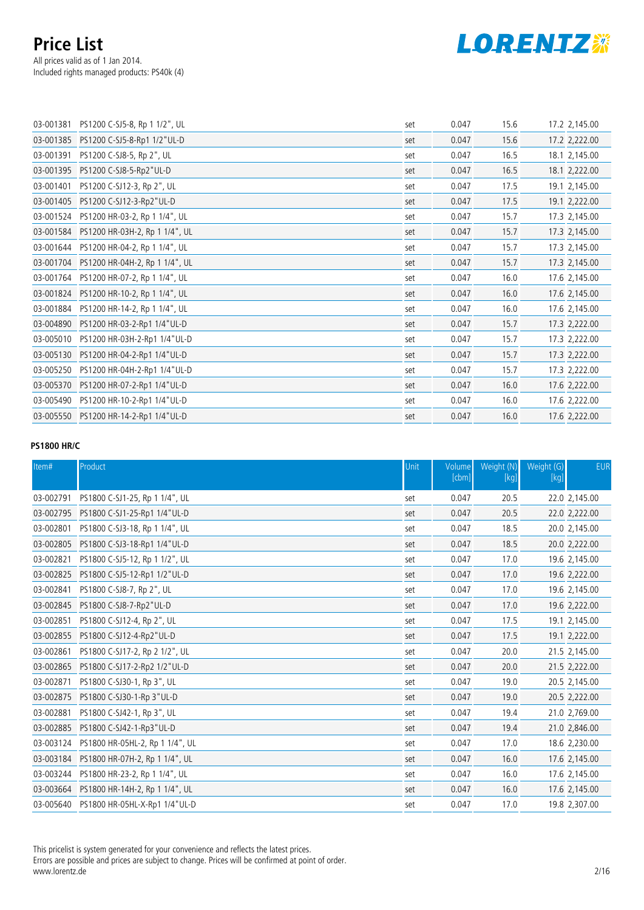

| 03-001381 | PS1200 C-SJ5-8, Rp 1 1/2", UL            | set | 0.047 | 15.6 | 17.2 2,145.00 |
|-----------|------------------------------------------|-----|-------|------|---------------|
| 03-001385 | PS1200 C-SJ5-8-Rp1 1/2"UL-D              | set | 0.047 | 15.6 | 17.2 2,222.00 |
| 03-001391 | PS1200 C-SJ8-5, Rp 2", UL                | set | 0.047 | 16.5 | 18.1 2,145.00 |
| 03-001395 | PS1200 C-SJ8-5-Rp2"UL-D                  | set | 0.047 | 16.5 | 18.1 2,222.00 |
| 03-001401 | PS1200 C-SJ12-3, Rp 2", UL               | set | 0.047 | 17.5 | 19.1 2,145.00 |
|           | 03-001405    PS1200    C-SJ12-3-Rp2"UL-D | set | 0.047 | 17.5 | 19.1 2,222.00 |
|           | 03-001524 PS1200 HR-03-2, Rp 1 1/4", UL  | set | 0.047 | 15.7 | 17.3 2,145.00 |
|           | 03-001584 PS1200 HR-03H-2, Rp 1 1/4", UL | set | 0.047 | 15.7 | 17.3 2,145.00 |
| 03-001644 | PS1200 HR-04-2, Rp 1 1/4", UL            | set | 0.047 | 15.7 | 17.3 2,145.00 |
|           | 03-001704 PS1200 HR-04H-2, Rp 1 1/4", UL | set | 0.047 | 15.7 | 17.3 2,145.00 |
| 03-001764 | PS1200 HR-07-2, Rp 1 1/4", UL            | set | 0.047 | 16.0 | 17.6 2,145.00 |
| 03-001824 | PS1200 HR-10-2, Rp 1 1/4", UL            | set | 0.047 | 16.0 | 17.6 2,145.00 |
| 03-001884 | PS1200 HR-14-2, Rp 1 1/4", UL            | set | 0.047 | 16.0 | 17.6 2,145.00 |
| 03-004890 | PS1200 HR-03-2-Rp1 1/4"UL-D              | set | 0.047 | 15.7 | 17.3 2,222.00 |
| 03-005010 | PS1200 HR-03H-2-Rp1 1/4"UL-D             | set | 0.047 | 15.7 | 17.3 2,222.00 |
|           | 03-005130 PS1200 HR-04-2-Rp1 1/4"UL-D    | set | 0.047 | 15.7 | 17.3 2,222.00 |
| 03-005250 | PS1200 HR-04H-2-Rp1 1/4"UL-D             | set | 0.047 | 15.7 | 17.3 2,222.00 |
|           | 03-005370 PS1200 HR-07-2-Rp1 1/4"UL-D    | set | 0.047 | 16.0 | 17.6 2,222.00 |
| 03-005490 | PS1200 HR-10-2-Rp1 1/4"UL-D              | set | 0.047 | 16.0 | 17.6 2,222.00 |
|           | 03-005550 PS1200 HR-14-2-Rp1 1/4"UL-D    | set | 0.047 | 16.0 | 17.6 2,222.00 |
|           |                                          |     |       |      |               |

#### **PS1800 HR/C**

| Item#     | Product                                      | Unit | Volume<br>[cbm] | Weight (N)<br>$[kg]$ | Weight (G)<br>[kg] | <b>EUR</b>    |
|-----------|----------------------------------------------|------|-----------------|----------------------|--------------------|---------------|
| 03-002791 | PS1800 C-SJ1-25, Rp 1 1/4", UL               | set  | 0.047           | 20.5                 |                    | 22.0 2,145.00 |
|           | 03-002795    PS1800    C-SJ1-25-Rp1 1/4"UL-D | set  | 0.047           | 20.5                 |                    | 22.0 2,222.00 |
| 03-002801 | PS1800 C-SJ3-18, Rp 1 1/4", UL               | set  | 0.047           | 18.5                 |                    | 20.0 2,145.00 |
| 03-002805 | PS1800 C-SJ3-18-Rp1 1/4"UL-D                 | set  | 0.047           | 18.5                 |                    | 20.0 2,222.00 |
| 03-002821 | PS1800 C-SJ5-12, Rp 1 1/2", UL               | set  | 0.047           | 17.0                 |                    | 19.6 2,145.00 |
| 03-002825 | PS1800 C-SJ5-12-Rp1 1/2"UL-D                 | set  | 0.047           | 17.0                 |                    | 19.6 2,222.00 |
| 03-002841 | PS1800 C-SJ8-7, Rp 2", UL                    | set  | 0.047           | 17.0                 |                    | 19.6 2,145.00 |
| 03-002845 | PS1800 C-SJ8-7-Rp2"UL-D                      | set  | 0.047           | 17.0                 |                    | 19.6 2,222.00 |
| 03-002851 | PS1800 C-SJ12-4, Rp 2", UL                   | set  | 0.047           | 17.5                 |                    | 19.1 2,145.00 |
|           | 03-002855    PS1800    C-SJ12-4-Rp2"UL-D     | set  | 0.047           | 17.5                 |                    | 19.1 2,222.00 |
| 03-002861 | PS1800 C-SJ17-2, Rp 2 1/2", UL               | set  | 0.047           | 20.0                 |                    | 21.5 2,145.00 |
| 03-002865 | PS1800 C-SJ17-2-Rp2 1/2"UL-D                 | set  | 0.047           | 20.0                 |                    | 21.5 2,222.00 |
| 03-002871 | PS1800 C-SJ30-1, Rp 3", UL                   | set  | 0.047           | 19.0                 |                    | 20.5 2,145.00 |
| 03-002875 | PS1800 C-SJ30-1-Rp 3"UL-D                    | set  | 0.047           | 19.0                 |                    | 20.5 2,222.00 |
| 03-002881 | PS1800 C-SJ42-1, Rp 3", UL                   | set  | 0.047           | 19.4                 |                    | 21.0 2,769.00 |
| 03-002885 | PS1800 C-SJ42-1-Rp3"UL-D                     | set  | 0.047           | 19.4                 |                    | 21.0 2,846.00 |
| 03-003124 | PS1800 HR-05HL-2, Rp 1 1/4", UL              | set  | 0.047           | 17.0                 |                    | 18.6 2,230.00 |
|           | 03-003184 PS1800 HR-07H-2, Rp 1 1/4", UL     | set  | 0.047           | 16.0                 |                    | 17.6 2,145.00 |
|           | 03-003244 PS1800 HR-23-2, Rp 1 1/4", UL      | set  | 0.047           | 16.0                 |                    | 17.6 2,145.00 |
|           | 03-003664 PS1800 HR-14H-2, Rp 1 1/4", UL     | set  | 0.047           | 16.0                 |                    | 17.6 2,145.00 |
|           | 03-005640 PS1800 HR-05HL-X-Rp1 1/4"UL-D      | set  | 0.047           | 17.0                 |                    | 19.8 2,307.00 |

This pricelist is system generated for your convenience and reflects the latest prices.

Errors are possible and prices are subject to change. Prices will be confirmed at point of order. www.lorentz.de 2/16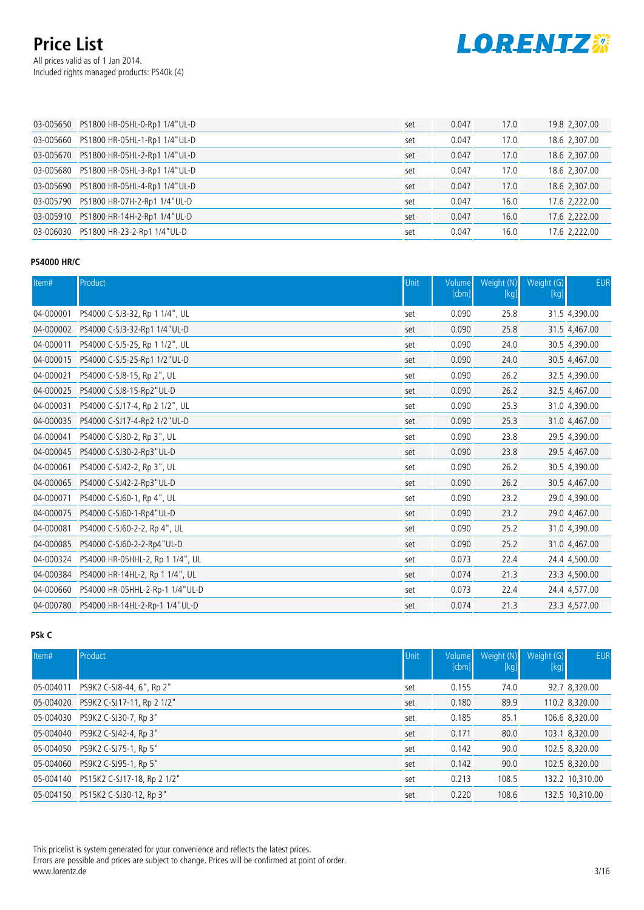All prices valid as of 1 Jan 2014. Included rights managed products: PS40k (4)



| 03-005650 PS1800 HR-05HL-0-Rp1 1/4"UL-D | set | 0.047 | 17.0 | 19.8 2,307.00 |
|-----------------------------------------|-----|-------|------|---------------|
| 03-005660 PS1800 HR-05HL-1-Rp1 1/4"UL-D | set | 0.047 | 17.0 | 18.6 2,307.00 |
| 03-005670 PS1800 HR-05HL-2-Rp1 1/4"UL-D | set | 0.047 | 17.0 | 18.6 2,307.00 |
| 03-005680 PS1800 HR-05HL-3-Rp1 1/4"UL-D | set | 0.047 | 17.0 | 18.6 2,307.00 |
| 03-005690 PS1800 HR-05HL-4-Rp1 1/4"UL-D | set | 0.047 | 17.0 | 18.6 2,307.00 |
| 03-005790 PS1800 HR-07H-2-Rp1 1/4"UL-D  | set | 0.047 | 16.0 | 17.6 2,222.00 |
| 03-005910 PS1800 HR-14H-2-Rp1 1/4"UL-D  | set | 0.047 | 16.0 | 17.6 2,222.00 |
| 03-006030 PS1800 HR-23-2-Rp1 1/4"UL-D   | set | 0.047 | 16.0 | 17.6 2,222.00 |

### **PS4000 HR/C**

| Item#     | Product                          | Unit | Volume<br>[cbm] | Weight (N)<br>$[kg]$ | Weight (G)<br>[kg] | <b>EUR</b>    |
|-----------|----------------------------------|------|-----------------|----------------------|--------------------|---------------|
| 04-000001 | PS4000 C-SJ3-32, Rp 1 1/4", UL   | set  | 0.090           | 25.8                 |                    | 31.5 4,390.00 |
| 04-000002 | PS4000 C-SJ3-32-Rp1 1/4"UL-D     | set  | 0.090           | 25.8                 |                    | 31.5 4,467.00 |
| 04-000011 | PS4000 C-SJ5-25, Rp 1 1/2", UL   | set  | 0.090           | 24.0                 |                    | 30.5 4,390.00 |
| 04-000015 | PS4000 C-SJ5-25-Rp1 1/2"UL-D     | set  | 0.090           | 24.0                 |                    | 30.5 4,467.00 |
| 04-000021 | PS4000 C-SJ8-15, Rp 2", UL       | set  | 0.090           | 26.2                 |                    | 32.5 4,390.00 |
| 04-000025 | PS4000 C-SJ8-15-Rp2"UL-D         | set  | 0.090           | 26.2                 |                    | 32.5 4,467.00 |
| 04-000031 | PS4000 C-SJ17-4, Rp 2 1/2", UL   | set  | 0.090           | 25.3                 |                    | 31.0 4,390.00 |
| 04-000035 | PS4000 C-SJ17-4-Rp2 1/2"UL-D     | set  | 0.090           | 25.3                 |                    | 31.0 4,467.00 |
| 04-000041 | PS4000 C-SJ30-2, Rp 3", UL       | set  | 0.090           | 23.8                 |                    | 29.5 4,390.00 |
| 04-000045 | PS4000 C-SJ30-2-Rp3"UL-D         | set  | 0.090           | 23.8                 |                    | 29.5 4,467.00 |
| 04-000061 | PS4000 C-SJ42-2, Rp 3", UL       | set  | 0.090           | 26.2                 |                    | 30.5 4,390.00 |
| 04-000065 | PS4000 C-SJ42-2-Rp3"UL-D         | set  | 0.090           | 26.2                 |                    | 30.5 4,467.00 |
| 04-000071 | PS4000 C-SJ60-1, Rp 4", UL       | set  | 0.090           | 23.2                 |                    | 29.0 4,390.00 |
| 04-000075 | PS4000 C-SJ60-1-Rp4"UL-D         | set  | 0.090           | 23.2                 |                    | 29.0 4,467.00 |
| 04-000081 | PS4000 C-SJ60-2-2, Rp 4", UL     | set  | 0.090           | 25.2                 |                    | 31.0 4,390.00 |
| 04-000085 | PS4000 C-SJ60-2-2-Rp4"UL-D       | set  | 0.090           | 25.2                 |                    | 31.0 4,467.00 |
| 04-000324 | PS4000 HR-05HHL-2, Rp 1 1/4", UL | set  | 0.073           | 22.4                 |                    | 24.4 4,500.00 |
| 04-000384 | PS4000 HR-14HL-2, Rp 1 1/4", UL  | set  | 0.074           | 21.3                 |                    | 23.3 4,500.00 |
| 04-000660 | PS4000 HR-05HHL-2-Rp-1 1/4"UL-D  | set  | 0.073           | 22.4                 |                    | 24.4 4,577.00 |
|           |                                  | set  | 0.074           | 21.3                 |                    | 23.3 4,577.00 |

### **PSk C**

| Item#     | Product                               | Unit | <b>Volume</b><br>[cbm] | Weight (N)<br>$[kg]$ | Weight (G)<br>$[kg]$ | <b>EUR</b>      |
|-----------|---------------------------------------|------|------------------------|----------------------|----------------------|-----------------|
| 05-004011 | PS9K2 C-SJ8-44, 6", Rp 2"             | set  | 0.155                  | 74.0                 |                      | 92.7 8,320.00   |
|           | 05-004020 PS9K2 C-SJ17-11, Rp 2 1/2"  | set  | 0.180                  | 89.9                 |                      | 110.2 8,320.00  |
|           | 05-004030 PS9K2 C-SJ30-7, Rp 3"       | set  | 0.185                  | 85.1                 |                      | 106.6 8,320.00  |
|           | 05-004040 PS9K2 C-SJ42-4, Rp 3"       | set  | 0.171                  | 80.0                 |                      | 103.1 8,320.00  |
|           | 05-004050 PS9K2 C-SJ75-1, Rp 5"       | set  | 0.142                  | 90.0                 |                      | 102.5 8,320.00  |
|           | 05-004060 PS9K2 C-SJ95-1, Rp 5"       | set  | 0.142                  | 90.0                 |                      | 102.5 8,320.00  |
|           | 05-004140 PS15K2 C-SJ17-18, Rp 2 1/2" | set  | 0.213                  | 108.5                |                      | 132.2 10,310.00 |
|           | 05-004150 PS15K2 C-SJ30-12, Rp 3"     | set  | 0.220                  | 108.6                |                      | 132.5 10,310.00 |

This pricelist is system generated for your convenience and reflects the latest prices. Errors are possible and prices are subject to change. Prices will be confirmed at point of order. www.lorentz.de 3/16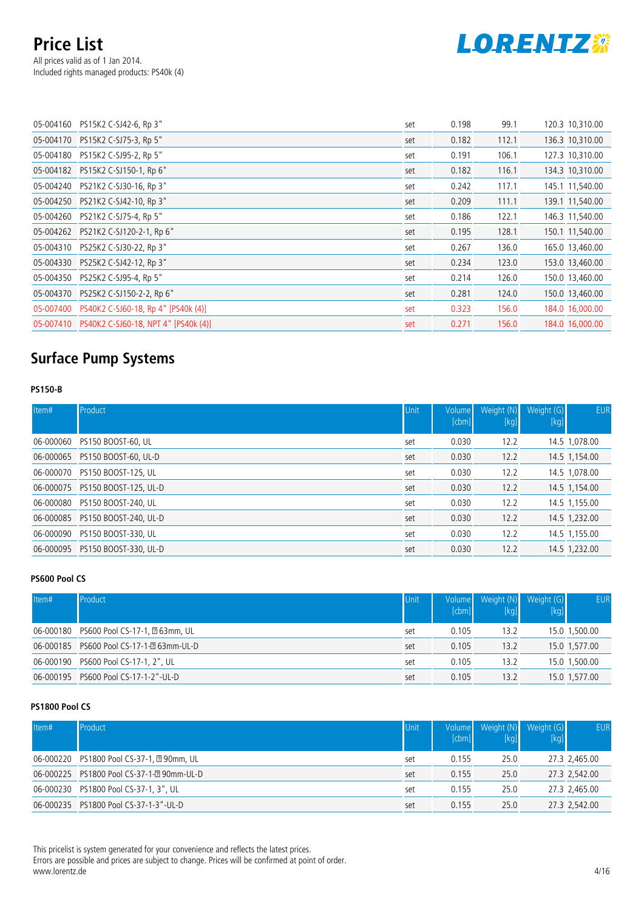## **Price List** All prices valid as of 1 Jan 2014. Included rights managed products: PS40k (4)



| 05-004160 PS15K2 C-SJ42-6, Rp 3"               | set | 0.198 | 99.1  | 120.3 10,310.00 |
|------------------------------------------------|-----|-------|-------|-----------------|
| 05-004170 PS15K2 C-SJ75-3, Rp 5"               | set | 0.182 | 112.1 | 136.3 10,310.00 |
| 05-004180 PS15K2 C-SJ95-2, Rp 5"               | set | 0.191 | 106.1 | 127.3 10,310.00 |
| 05-004182 PS15K2 C-SJ150-1, Rp 6"              | set | 0.182 | 116.1 | 134.3 10,310.00 |
| 05-004240 PS21K2 C-SJ30-16, Rp 3"              | set | 0.242 | 117.1 | 145.1 11,540.00 |
| 05-004250 PS21K2 C-SJ42-10, Rp 3"              | set | 0.209 | 111.1 | 139.1 11,540.00 |
| 05-004260 PS21K2 C-SJ75-4, Rp 5"               | set | 0.186 | 122.1 | 146.3 11,540.00 |
| 05-004262 PS21K2 C-SJ120-2-1, Rp 6"            | set | 0.195 | 128.1 | 150.1 11,540.00 |
| 05-004310 PS25K2 C-SJ30-22, Rp 3"              | set | 0.267 | 136.0 | 165.0 13,460.00 |
| 05-004330 PS25K2 C-SJ42-12, Rp 3"              | set | 0.234 | 123.0 | 153.0 13,460.00 |
| 05-004350 PS25K2 C-SJ95-4, Rp 5"               | set | 0.214 | 126.0 | 150.0 13,460.00 |
| 05-004370 PS25K2 C-SJ150-2-2, Rp 6"            | set | 0.281 | 124.0 | 150.0 13,460.00 |
| 05-007400 PS40K2 C-SJ60-18, Rp 4" [PS40k (4)]  | set | 0.323 | 156.0 | 184.0 16,000.00 |
| 05-007410 PS40K2 C-SJ60-18, NPT 4" [PS40k (4)] | set | 0.271 | 156.0 | 184.0 16.000.00 |

# **Surface Pump Systems**

#### **PS150-B**

| Item#     | Product                         | Unit | <b>Volume</b><br>[cbm] | Weight (N)<br>[kg] | Weight (G)<br>$[kg]$ | <b>EUR</b>    |
|-----------|---------------------------------|------|------------------------|--------------------|----------------------|---------------|
| 06-000060 | PS150 BOOST-60, UL              | set  | 0.030                  | 12.2               |                      | 14.5 1,078.00 |
| 06-000065 | PS150 BOOST-60, UL-D            | set  | 0.030                  | 12.2               |                      | 14.5 1,154.00 |
| 06-000070 | PS150 BOOST-125, UL             | set  | 0.030                  | 12.2               |                      | 14.5 1,078.00 |
|           | 06-000075 PS150 BOOST-125, UL-D | set  | 0.030                  | 12.2               |                      | 14.5 1,154.00 |
| 06-000080 | PS150 BOOST-240, UL             | set  | 0.030                  | 12.2               |                      | 14.5 1,155.00 |
|           | 06-000085 PS150 BOOST-240, UL-D | set  | 0.030                  | 12.2               |                      | 14.5 1,232.00 |
| 06-000090 | PS150 BOOST-330, UL             | set  | 0.030                  | 12.2               |                      | 14.5 1,155.00 |
|           | 06-000095 PS150 BOOST-330, UL-D | set  | 0.030                  | 12.2               |                      | 14.5 1,232.00 |

#### **PS600 Pool CS**

| Item# | Product                                    | <b>Unit</b> | [cbm] | Volume Weight (N)<br>[kg] | Weight (G)<br>[kg] | <b>EUR</b>    |
|-------|--------------------------------------------|-------------|-------|---------------------------|--------------------|---------------|
|       | 06-000180 PS600 Pool CS-17-1, 20 63mm, UL  | set         | 0.105 | 13.2                      |                    | 15.0 1,500.00 |
|       | 06-000185 PS600 Pool CS-17-1-2 63mm-UL-D   | set         | 0.105 | 13.2                      |                    | 15.0 1,577.00 |
|       | 06-000190 PS600 Pool CS-17-1, 2", UL       | set         | 0.105 | 13.2                      |                    | 15.0 1,500.00 |
|       | 06-000195    PS600    Pool CS-17-1-2"-UL-D | set         | 0.105 | 13.2                      |                    | 15.0 1,577.00 |

### **PS1800 Pool CS**

| Item# | Product                                   | Unit | [cbm] | Volume Weight (N)<br>[kq] | Weight (G)<br>[kg] | <b>EUR</b>    |
|-------|-------------------------------------------|------|-------|---------------------------|--------------------|---------------|
|       | 06-000220 PS1800 Pool CS-37-1, 290mm, UL  | set  | 0.155 | 25.0                      |                    | 27.3 2,465.00 |
|       | 06-000225 PS1800 Pool CS-37-1-2 90mm-UL-D | set  | 0.155 | 25.0                      |                    | 27.3 2,542.00 |
|       | 06-000230 PS1800 Pool CS-37-1, 3", UL     | set  | 0.155 | 25.0                      |                    | 27.3 2,465.00 |
|       | 06-000235 PS1800 Pool CS-37-1-3"-UL-D     | set  | 0.155 | 25.0                      |                    | 27.3 2,542.00 |

This pricelist is system generated for your convenience and reflects the latest prices. Errors are possible and prices are subject to change. Prices will be confirmed at point of order. www.lorentz.de 4/16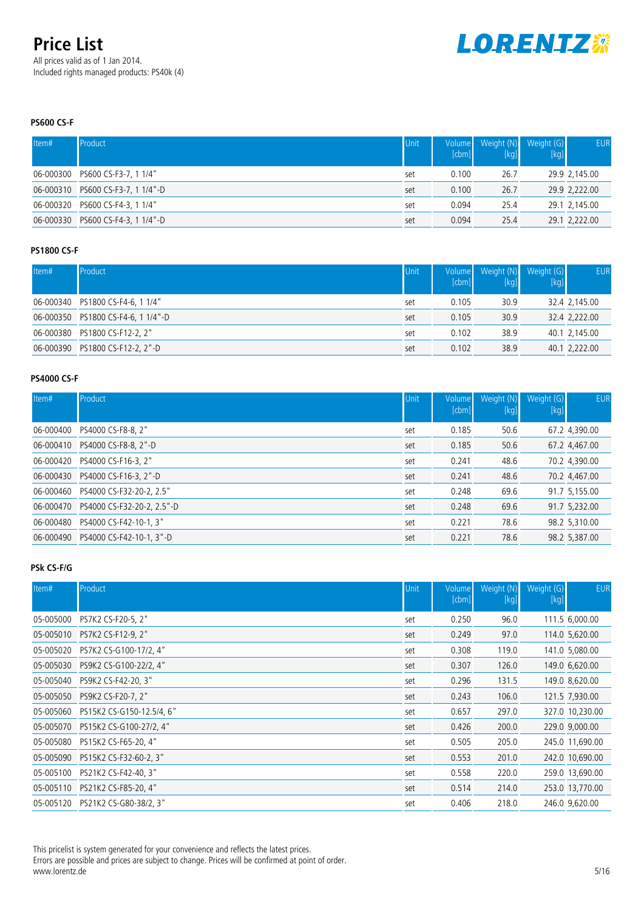All prices valid as of 1 Jan 2014. Included rights managed products: PS40k (4)



### **PS600 CS-F**

| Item# | Product                           | Unit | Volume<br>[cbm] | Weight (N)<br>[kg] | Weight (G)<br>[kg] | <b>EUR</b>    |
|-------|-----------------------------------|------|-----------------|--------------------|--------------------|---------------|
|       | 06-000300 PS600 CS-F3-7, 1 1/4"   | set  | 0.100           | 26.7               |                    | 29.9 2,145.00 |
|       | 06-000310 PS600 CS-F3-7, 1 1/4"-D | set  | 0.100           | 26.7               |                    | 29.9 2,222.00 |
|       | 06-000320 PS600 CS-F4-3, 1 1/4"   | set  | 0.094           | 25.4               |                    | 29.1 2,145.00 |
|       | 06-000330 PS600 CS-F4-3, 1 1/4"-D | set  | 0.094           | 25.4               |                    | 29.1 2,222.00 |

### **PS1800 CS-F**

| Item# | Product                            | Unit | Volume<br>[cbm] | Weight (N) Weight (G) | [kg] | <b>EUR</b>    |
|-------|------------------------------------|------|-----------------|-----------------------|------|---------------|
|       | 06-000340 PS1800 CS-F4-6, 1 1/4"   | set  | 0.105           | 30.9                  |      | 32.4 2,145.00 |
|       | 06-000350 PS1800 CS-F4-6, 1 1/4"-D | set  | 0.105           | 30.9                  |      | 32.4 2,222.00 |
|       | 06-000380 PS1800 CS-F12-2, 2"      | set  | 0.102           | 38.9                  |      | 40.1 2,145.00 |
|       | 06-000390 PS1800 CS-F12-2, 2"-D    | set  | 0.102           | 38.9                  |      | 40.1 2,222.00 |

### **PS4000 CS-F**

| Item#     | Product                              | <b>Unit</b> | Volume<br>[cbm] | [kg] | Weight (N) Weight (G)<br>$[kg]$ | <b>EUR</b>    |
|-----------|--------------------------------------|-------------|-----------------|------|---------------------------------|---------------|
| 06-000400 | PS4000 CS-F8-8, 2"                   | set         | 0.185           | 50.6 |                                 | 67.2 4,390.00 |
| 06-000410 | PS4000 CS-F8-8, 2"-D                 | set         | 0.185           | 50.6 |                                 | 67.2 4,467.00 |
| 06-000420 | PS4000 CS-F16-3, 2"                  | set         | 0.241           | 48.6 |                                 | 70.2 4,390.00 |
|           | 06-000430    PS4000 CS-F16-3, 2"-D   | set         | 0.241           | 48.6 |                                 | 70.2 4,467.00 |
|           | 06-000460 PS4000 CS-F32-20-2, 2.5"   | set         | 0.248           | 69.6 |                                 | 91.7 5,155.00 |
|           | 06-000470 PS4000 CS-F32-20-2, 2.5"-D | set         | 0.248           | 69.6 |                                 | 91.7 5,232.00 |
| 06-000480 | PS4000 CS-F42-10-1, 3"               | set         | 0.221           | 78.6 |                                 | 98.2 5,310.00 |
|           | 06-000490 PS4000 CS-F42-10-1, 3"-D   | set         | 0.221           | 78.6 |                                 | 98.2 5,387.00 |

#### **PSk CS-F/G**

| Item#     | Product                           | Unit | Volume<br>[cbm] | Weight (N)<br>$[kg] % \begin{center} % \includegraphics[width=\textwidth]{images/TransY.pdf} \end{center} % \vspace*{-1em} \caption{The figure shows the results of the estimators in the image.} \label{fig:class} %$ | Weight (G)<br>$[kg]$ | <b>EUR</b>      |
|-----------|-----------------------------------|------|-----------------|------------------------------------------------------------------------------------------------------------------------------------------------------------------------------------------------------------------------|----------------------|-----------------|
| 05-005000 | PS7K2 CS-F20-5, 2"                | set  | 0.250           | 96.0                                                                                                                                                                                                                   |                      | 111.5 6,000.00  |
|           | 05-005010 PS7K2 CS-F12-9, 2"      | set  | 0.249           | 97.0                                                                                                                                                                                                                   |                      | 114.0 5,620.00  |
|           | 05-005020 PS7K2 CS-G100-17/2, 4"  | set  | 0.308           | 119.0                                                                                                                                                                                                                  |                      | 141.0 5,080.00  |
| 05-005030 | PS9K2 CS-G100-22/2, 4"            | set  | 0.307           | 126.0                                                                                                                                                                                                                  |                      | 149.0 6,620.00  |
|           | 05-005040 PS9K2 CS-F42-20, 3"     | set  | 0.296           | 131.5                                                                                                                                                                                                                  |                      | 149.0 8,620.00  |
|           | 05-005050 PS9K2 CS-F20-7, 2"      | set  | 0.243           | 106.0                                                                                                                                                                                                                  |                      | 121.5 7,930.00  |
| 05-005060 | PS15K2 CS-G150-12.5/4, 6"         | set  | 0.657           | 297.0                                                                                                                                                                                                                  |                      | 327.0 10,230.00 |
|           | 05-005070 PS15K2 CS-G100-27/2, 4" | set  | 0.426           | 200.0                                                                                                                                                                                                                  |                      | 229.0 9,000.00  |
| 05-005080 | PS15K2 CS-F65-20, 4"              | set  | 0.505           | 205.0                                                                                                                                                                                                                  |                      | 245.0 11,690.00 |
| 05-005090 | PS15K2 CS-F32-60-2, 3"            | set  | 0.553           | 201.0                                                                                                                                                                                                                  |                      | 242.0 10,690.00 |
| 05-005100 | PS21K2 CS-F42-40, 3"              | set  | 0.558           | 220.0                                                                                                                                                                                                                  |                      | 259.0 13,690.00 |
|           | 05-005110 PS21K2 CS-F85-20, 4"    | set  | 0.514           | 214.0                                                                                                                                                                                                                  |                      | 253.0 13,770.00 |
|           | 05-005120 PS21K2 CS-G80-38/2, 3"  | set  | 0.406           | 218.0                                                                                                                                                                                                                  |                      | 246.0 9,620.00  |

This pricelist is system generated for your convenience and reflects the latest prices.

Errors are possible and prices are subject to change. Prices will be confirmed at point of order. www.lorentz.de 5/16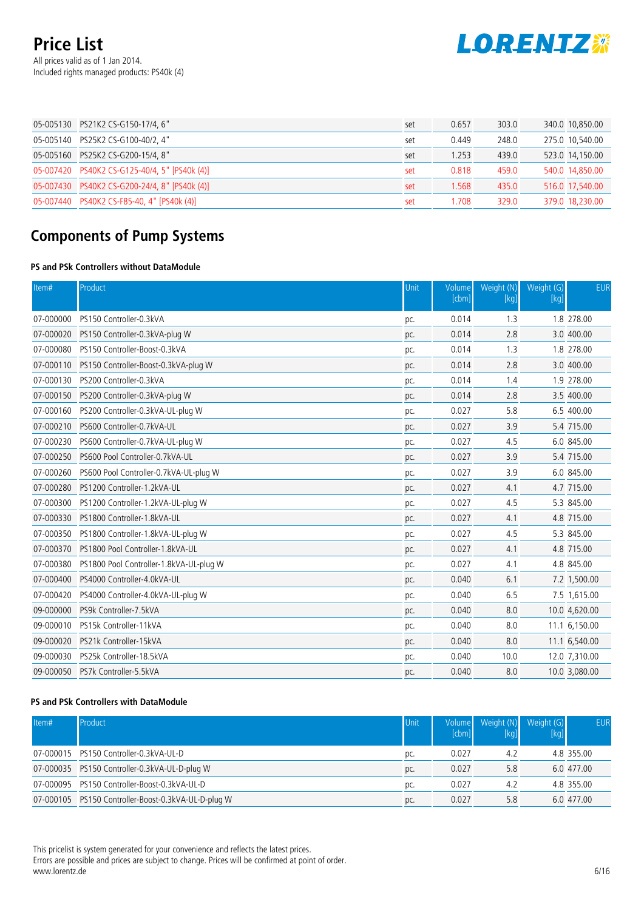All prices valid as of 1 Jan 2014. Included rights managed products: PS40k (4)



| 05-005130 PS21K2 CS-G150-17/4, 6"             | set | 0.657 | 303.0 | 340.0 10,850.00 |
|-----------------------------------------------|-----|-------|-------|-----------------|
| 05-005140 PS25K2 CS-G100-40/2, 4"             | set | 0.449 | 248.0 | 275.0 10,540.00 |
| 05-005160 PS25K2 CS-G200-15/4, 8"             | set | .253  | 439.0 | 523.0 14,150.00 |
| 05-007420 PS40K2 CS-G125-40/4, 5" [PS40k (4)] | set | 0.818 | 459.0 | 540.0 14,850.00 |
| 05-007430 PS40K2 CS-G200-24/4, 8" [PS40k (4)] | set | 1.568 | 435.0 | 516.0 17,540.00 |
| 05-007440 PS40K2 CS-F85-40, 4" [PS40k (4)]    | set | .708  | 329.0 | 379.0 18,230.00 |

# **Components of Pump Systems**

### **PS and PSk Controllers without DataModule**

| Item#     | Product                                 | Unit | Volume<br>[cbm] | Weight (N)<br>[kg] | Weight (G)<br>[kg] | <b>EUR</b>    |
|-----------|-----------------------------------------|------|-----------------|--------------------|--------------------|---------------|
| 07-000000 | PS150 Controller-0.3kVA                 | pc.  | 0.014           | 1.3                |                    | 1.8 278.00    |
| 07-000020 | PS150 Controller-0.3kVA-plug W          | pc.  | 0.014           | 2.8                |                    | 3.0 400.00    |
| 07-000080 | PS150 Controller-Boost-0.3kVA           | pc.  | 0.014           | 1.3                |                    | 1.8 278.00    |
| 07-000110 | PS150 Controller-Boost-0.3kVA-plug W    | pc.  | 0.014           | 2.8                |                    | 3.0 400.00    |
| 07-000130 | PS200 Controller-0.3kVA                 | pc.  | 0.014           | 1.4                |                    | 1.9 278.00    |
| 07-000150 | PS200 Controller-0.3kVA-plug W          | pc.  | 0.014           | 2.8                |                    | 3.5 400.00    |
| 07-000160 | PS200 Controller-0.3kVA-UL-plug W       | pc.  | 0.027           | 5.8                |                    | 6.5 400.00    |
| 07-000210 | PS600 Controller-0.7kVA-UL              | pc.  | 0.027           | 3.9                |                    | 5.4 715.00    |
| 07-000230 | PS600 Controller-0.7kVA-UL-plug W       | pc.  | 0.027           | 4.5                |                    | 6.0 845.00    |
| 07-000250 | PS600 Pool Controller-0.7kVA-UL         | pc.  | 0.027           | 3.9                |                    | 5.4 715.00    |
| 07-000260 | PS600 Pool Controller-0.7kVA-UL-plug W  | pc.  | 0.027           | 3.9                |                    | 6.0 845.00    |
| 07-000280 | PS1200 Controller-1.2kVA-UL             | pc.  | 0.027           | 4.1                |                    | 4.7 715.00    |
| 07-000300 | PS1200 Controller-1.2kVA-UL-plug W      | pc.  | 0.027           | 4.5                |                    | 5.3 845.00    |
| 07-000330 | PS1800 Controller-1.8kVA-UL             | pc.  | 0.027           | 4.1                |                    | 4.8 715.00    |
| 07-000350 | PS1800 Controller-1.8kVA-UL-plug W      | pc.  | 0.027           | 4.5                |                    | 5.3 845.00    |
| 07-000370 | PS1800 Pool Controller-1.8kVA-UL        | pc.  | 0.027           | 4.1                |                    | 4.8 715.00    |
| 07-000380 | PS1800 Pool Controller-1.8kVA-UL-plug W | pc.  | 0.027           | 4.1                |                    | 4.8 845.00    |
| 07-000400 | PS4000 Controller-4.0kVA-UL             | pc.  | 0.040           | 6.1                |                    | 7.2 1,500.00  |
| 07-000420 | PS4000 Controller-4.0kVA-UL-plug W      | pc.  | 0.040           | 6.5                |                    | 7.5 1,615.00  |
| 09-000000 | PS9k Controller-7.5kVA                  | pc.  | 0.040           | 8.0                |                    | 10.0 4,620.00 |
| 09-000010 | PS15k Controller-11kVA                  | pc.  | 0.040           | 8.0                |                    | 11.1 6,150.00 |
| 09-000020 | PS21k Controller-15kVA                  | pc.  | 0.040           | 8.0                |                    | 11.1 6,540.00 |
| 09-000030 | PS25k Controller-18.5kVA                | pc.  | 0.040           | 10.0               |                    | 12.0 7,310.00 |
| 09-000050 | PS7k Controller-5.5kVA                  | pc.  | 0.040           | 8.0                |                    | 10.0 3,080.00 |

#### **PS and PSk Controllers with DataModule**

| Item# | Product                                             | Unit | [cbm] | Volume Weight (N)<br>[kg | Weight $(G)$<br>[kq] | <b>EUR</b> |
|-------|-----------------------------------------------------|------|-------|--------------------------|----------------------|------------|
|       | 07-000015 PS150 Controller-0.3kVA-UL-D              | pc.  | 0.027 | 4.2                      |                      | 4.8 355.00 |
|       | 07-000035 PS150 Controller-0.3kVA-UL-D-plug W       | pc.  | 0.027 | 5.8                      |                      | 6.0 477.00 |
|       | 07-000095 PS150 Controller-Boost-0.3kVA-UL-D        | pc.  | 0.027 | 4.2                      |                      | 4.8 355.00 |
|       | 07-000105 PS150 Controller-Boost-0.3kVA-UL-D-plug W | pc.  | 0.027 | 5.8                      |                      | 6.0 477.00 |

This pricelist is system generated for your convenience and reflects the latest prices. Errors are possible and prices are subject to change. Prices will be confirmed at point of order. www.lorentz.de 6/16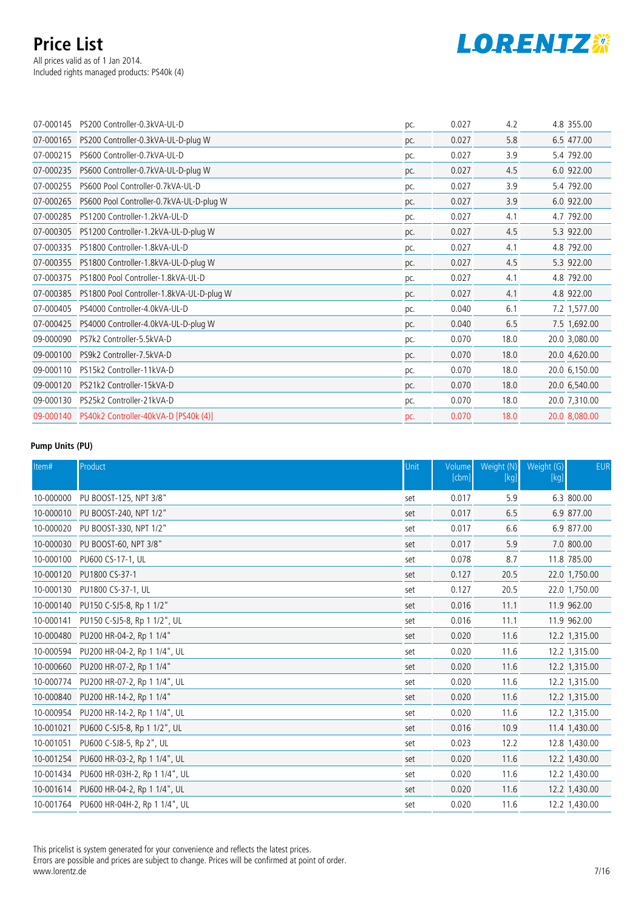All prices valid as of 1 Jan 2014. Included rights managed products: PS40k (4)



| 07-000145 | PS200 Controller-0.3kVA-UL-D                    | pc. | 0.027 | 4.2  | 4.8 355.00    |
|-----------|-------------------------------------------------|-----|-------|------|---------------|
|           | 07-000165 PS200 Controller-0.3kVA-UL-D-plug W   | pc. | 0.027 | 5.8  | 6.5 477.00    |
| 07-000215 | PS600 Controller-0.7kVA-UL-D                    | pc. | 0.027 | 3.9  | 5.4 792.00    |
| 07-000235 | PS600 Controller-0.7kVA-UL-D-plug W             | pc. | 0.027 | 4.5  | 6.0 922.00    |
| 07-000255 | PS600 Pool Controller-0.7kVA-UL-D               | pc. | 0.027 | 3.9  | 5.4 792.00    |
| 07-000265 | PS600 Pool Controller-0.7kVA-UL-D-plug W        | pc. | 0.027 | 3.9  | 6.0 922.00    |
| 07-000285 | PS1200 Controller-1.2kVA-UL-D                   | pc. | 0.027 | 4.1  | 4.7 792.00    |
| 07-000305 | PS1200 Controller-1.2kVA-UL-D-plug W            | pc. | 0.027 | 4.5  | 5.3 922.00    |
| 07-000335 | PS1800 Controller-1.8kVA-UL-D                   | pc. | 0.027 | 4.1  | 4.8 792.00    |
|           | 07-000355 PS1800 Controller-1.8kVA-UL-D-plug W  | pc. | 0.027 | 4.5  | 5.3 922.00    |
| 07-000375 | PS1800 Pool Controller-1.8kVA-UL-D              | pc. | 0.027 | 4.1  | 4.8 792.00    |
| 07-000385 | PS1800 Pool Controller-1.8kVA-UL-D-plug W       | pc. | 0.027 | 4.1  | 4.8 922.00    |
| 07-000405 | PS4000 Controller-4.0kVA-UL-D                   | pc. | 0.040 | 6.1  | 7.2 1,577.00  |
| 07-000425 | PS4000 Controller-4.0kVA-UL-D-plug W            | pc. | 0.040 | 6.5  | 7.5 1,692.00  |
| 09-000090 | PS7k2 Controller-5.5kVA-D                       | pc. | 0.070 | 18.0 | 20.0 3,080.00 |
| 09-000100 | PS9k2 Controller-7.5kVA-D                       | pc. | 0.070 | 18.0 | 20.0 4,620.00 |
| 09-000110 | PS15k2 Controller-11kVA-D                       | pc. | 0.070 | 18.0 | 20.0 6,150.00 |
| 09-000120 | PS21k2 Controller-15kVA-D                       | pc. | 0.070 | 18.0 | 20.0 6,540.00 |
| 09-000130 | PS25k2 Controller-21kVA-D                       | pc. | 0.070 | 18.0 | 20.0 7,310.00 |
|           | 09-000140 PS40k2 Controller-40kVA-D [PS40k (4)] | pc. | 0.070 | 18.0 | 20.0 8,080.00 |
|           |                                                 |     |       |      |               |

#### **Pump Units (PU)**

| Item#     | Product                                 | Unit | Volume<br>[cbm] | Weight (N)<br>$[kg]$ | Weight (G)<br>$[kg]$ | <b>EUR</b>    |
|-----------|-----------------------------------------|------|-----------------|----------------------|----------------------|---------------|
| 10-000000 | PU BOOST-125, NPT 3/8"                  | set  | 0.017           | 5.9                  |                      | 6.3 800.00    |
|           | 10-000010 PU BOOST-240, NPT 1/2"        | set  | 0.017           | 6.5                  |                      | 6.9 877.00    |
|           | 10-000020 PU BOOST-330, NPT 1/2"        | set  | 0.017           | 6.6                  |                      | 6.9 877.00    |
| 10-000030 | PU BOOST-60, NPT 3/8"                   | set  | 0.017           | 5.9                  |                      | 7.0 800.00    |
| 10-000100 | PU600 CS-17-1, UL                       | set  | 0.078           | 8.7                  |                      | 11.8 785.00   |
| 10-000120 | PU1800 CS-37-1                          | set  | 0.127           | 20.5                 |                      | 22.0 1,750.00 |
| 10-000130 | PU1800 CS-37-1, UL                      | set  | 0.127           | 20.5                 |                      | 22.0 1,750.00 |
|           | 10-000140 PU150 C-SJ5-8, Rp 1 1/2"      | set  | 0.016           | 11.1                 |                      | 11.9 962.00   |
| 10-000141 | PU150 C-SJ5-8, Rp 1 1/2", UL            | set  | 0.016           | 11.1                 |                      | 11.9 962.00   |
|           | 10-000480 PU200 HR-04-2, Rp 1 1/4"      | set  | 0.020           | 11.6                 |                      | 12.2 1,315.00 |
|           | 10-000594 PU200 HR-04-2, Rp 1 1/4", UL  | set  | 0.020           | 11.6                 |                      | 12.2 1,315.00 |
|           | 10-000660 PU200 HR-07-2, Rp 1 1/4"      | set  | 0.020           | 11.6                 |                      | 12.2 1,315.00 |
| 10-000774 | PU200 HR-07-2, Rp 1 1/4", UL            | set  | 0.020           | 11.6                 |                      | 12.2 1,315.00 |
| 10-000840 | PU200 HR-14-2, Rp 1 1/4"                | set  | 0.020           | 11.6                 |                      | 12.2 1,315.00 |
| 10-000954 | PU200 HR-14-2, Rp 1 1/4", UL            | set  | 0.020           | 11.6                 |                      | 12.2 1,315.00 |
| 10-001021 | PU600 C-SJ5-8, Rp 1 1/2", UL            | set  | 0.016           | 10.9                 |                      | 11.4 1,430.00 |
| 10-001051 | PU600 C-SJ8-5, Rp 2", UL                | set  | 0.023           | 12.2                 |                      | 12.8 1,430.00 |
| 10-001254 | PU600 HR-03-2, Rp 1 1/4", UL            | set  | 0.020           | 11.6                 |                      | 12.2 1,430.00 |
|           | 10-001434 PU600 HR-03H-2, Rp 1 1/4", UL | set  | 0.020           | 11.6                 |                      | 12.2 1,430.00 |
|           | 10-001614 PU600 HR-04-2, Rp 1 1/4", UL  | set  | 0.020           | 11.6                 |                      | 12.2 1,430.00 |
|           | 10-001764 PU600 HR-04H-2, Rp 1 1/4", UL | set  | 0.020           | 11.6                 |                      | 12.2 1,430.00 |

This pricelist is system generated for your convenience and reflects the latest prices.

Errors are possible and prices are subject to change. Prices will be confirmed at point of order. www.lorentz.de 7/16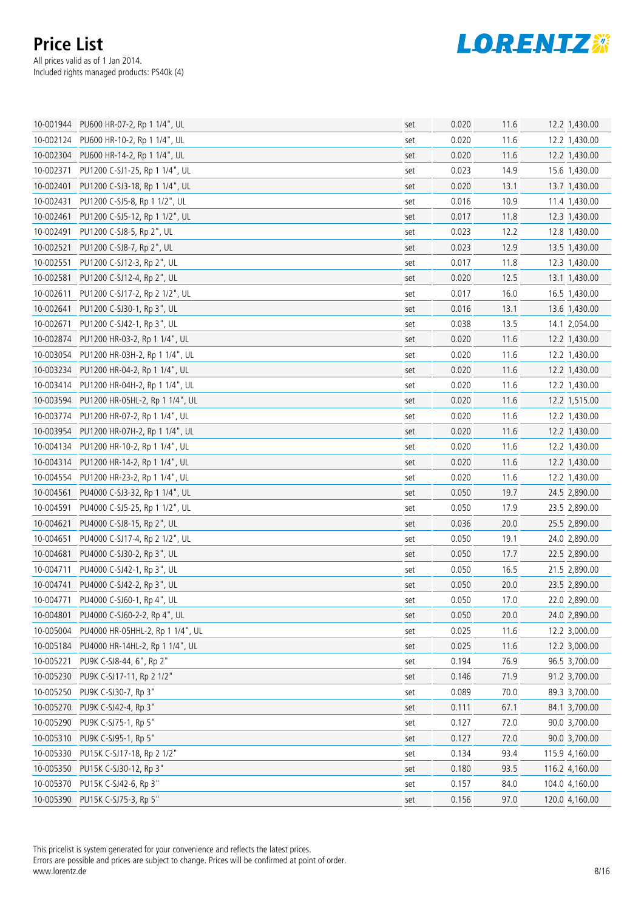

|           | 10-001944 PU600 HR-07-2, Rp 1 1/4", UL    | set | 0.020 | 11.6 | 12.2 1,430.00  |
|-----------|-------------------------------------------|-----|-------|------|----------------|
|           | 10-002124 PU600 HR-10-2, Rp 1 1/4", UL    | set | 0.020 | 11.6 | 12.2 1,430.00  |
|           | 10-002304 PU600 HR-14-2, Rp 1 1/4", UL    | set | 0.020 | 11.6 | 12.2 1,430.00  |
| 10-002371 | PU1200 C-SJ1-25, Rp 1 1/4", UL            | set | 0.023 | 14.9 | 15.6 1,430.00  |
| 10-002401 | PU1200 C-SJ3-18, Rp 1 1/4", UL            | set | 0.020 | 13.1 | 13.7 1,430.00  |
| 10-002431 | PU1200 C-SJ5-8, Rp 1 1/2", UL             | set | 0.016 | 10.9 | 11.4 1,430.00  |
| 10-002461 | PU1200 C-SJ5-12, Rp 1 1/2", UL            | set | 0.017 | 11.8 | 12.3 1,430.00  |
| 10-002491 | PU1200 C-SJ8-5, Rp 2", UL                 | set | 0.023 | 12.2 | 12.8 1,430.00  |
| 10-002521 | PU1200 C-SJ8-7, Rp 2", UL                 | set | 0.023 | 12.9 | 13.5 1,430.00  |
| 10-002551 | PU1200 C-SJ12-3, Rp 2", UL                | set | 0.017 | 11.8 | 12.3 1,430.00  |
| 10-002581 | PU1200 C-SJ12-4, Rp 2", UL                | set | 0.020 | 12.5 | 13.1 1,430.00  |
| 10-002611 | PU1200 C-SJ17-2, Rp 2 1/2", UL            | set | 0.017 | 16.0 | 16.5 1,430.00  |
| 10-002641 | PU1200 C-SJ30-1, Rp 3", UL                | set | 0.016 | 13.1 | 13.6 1,430.00  |
| 10-002671 | PU1200 C-SJ42-1, Rp 3", UL                | set | 0.038 | 13.5 | 14.1 2,054.00  |
|           | 10-002874 PU1200 HR-03-2, Rp 1 1/4", UL   | set | 0.020 | 11.6 | 12.2 1,430.00  |
|           | 10-003054 PU1200 HR-03H-2, Rp 1 1/4", UL  | set | 0.020 | 11.6 | 12.2 1,430.00  |
|           | 10-003234 PU1200 HR-04-2, Rp 1 1/4", UL   | set | 0.020 | 11.6 | 12.2 1,430.00  |
|           | 10-003414 PU1200 HR-04H-2, Rp 1 1/4", UL  | set | 0.020 | 11.6 | 12.2 1,430.00  |
|           | 10-003594 PU1200 HR-05HL-2, Rp 1 1/4", UL | set | 0.020 | 11.6 | 12.2 1,515.00  |
| 10-003774 | PU1200 HR-07-2, Rp 1 1/4", UL             | set | 0.020 | 11.6 | 12.2 1,430.00  |
|           | 10-003954 PU1200 HR-07H-2, Rp 1 1/4", UL  | set | 0.020 | 11.6 | 12.2 1,430.00  |
|           | 10-004134 PU1200 HR-10-2, Rp 1 1/4", UL   | set | 0.020 | 11.6 | 12.2 1,430.00  |
|           | 10-004314 PU1200 HR-14-2, Rp 1 1/4", UL   | set | 0.020 | 11.6 | 12.2 1,430.00  |
|           | 10-004554 PU1200 HR-23-2, Rp 1 1/4", UL   | set | 0.020 | 11.6 | 12.2 1,430.00  |
| 10-004561 | PU4000 C-SJ3-32, Rp 1 1/4", UL            | set | 0.050 | 19.7 | 24.5 2,890.00  |
| 10-004591 | PU4000 C-SJ5-25, Rp 1 1/2", UL            | set | 0.050 | 17.9 | 23.5 2,890.00  |
| 10-004621 | PU4000 C-SJ8-15, Rp 2", UL                | set | 0.036 | 20.0 | 25.5 2,890.00  |
| 10-004651 | PU4000 C-SJ17-4, Rp 2 1/2", UL            | set | 0.050 | 19.1 | 24.0 2,890.00  |
| 10-004681 | PU4000 C-SJ30-2, Rp 3", UL                | set | 0.050 | 17.7 | 22.5 2,890.00  |
| 10-004711 | PU4000 C-SJ42-1, Rp 3", UL                | set | 0.050 | 16.5 | 21.5 2,890.00  |
| 10-004741 | PU4000 C-SJ42-2, Rp 3", UL                | set | 0.050 | 20.0 | 23.5 2,890.00  |
| 10-004771 | PU4000 C-SJ60-1, Rp 4", UL                | set | 0.050 | 17.0 | 22.0 2,890.00  |
|           | 10-004801 PU4000 C-SJ60-2-2, Rp 4", UL    | set | 0.050 | 20.0 | 24.0 2,890.00  |
| 10-005004 | PU4000 HR-05HHL-2, Rp 1 1/4", UL          | set | 0.025 | 11.6 | 12.2 3,000.00  |
| 10-005184 | PU4000 HR-14HL-2, Rp 1 1/4", UL           | set | 0.025 | 11.6 | 12.2 3,000.00  |
| 10-005221 | PU9K C-SJ8-44, 6", Rp 2"                  | set | 0.194 | 76.9 | 96.5 3,700.00  |
|           | 10-005230 PU9K C-SJ17-11, Rp 2 1/2"       | set | 0.146 | 71.9 | 91.2 3,700.00  |
|           | 10-005250 PU9K C-SJ30-7, Rp 3"            | set | 0.089 | 70.0 | 89.3 3,700.00  |
|           | 10-005270 PU9K C-SJ42-4, Rp 3"            | set | 0.111 | 67.1 | 84.1 3,700.00  |
| 10-005290 | PU9K C-SJ75-1, Rp 5"                      | set | 0.127 | 72.0 | 90.0 3,700.00  |
|           | 10-005310 PU9K C-SJ95-1, Rp 5"            | set | 0.127 | 72.0 | 90.0 3,700.00  |
| 10-005330 | PU15K C-SJ17-18, Rp 2 1/2"                | set | 0.134 | 93.4 | 115.9 4,160.00 |
|           | 10-005350 PU15K C-SJ30-12, Rp 3"          | set | 0.180 | 93.5 | 116.2 4,160.00 |
|           | 10-005370 PU15K C-SJ42-6, Rp 3"           | set | 0.157 | 84.0 | 104.0 4,160.00 |
|           | 10-005390 PU15K C-SJ75-3, Rp 5"           | set | 0.156 | 97.0 | 120.0 4,160.00 |

This pricelist is system generated for your convenience and reflects the latest prices.

Errors are possible and prices are subject to change. Prices will be confirmed at point of order. www.lorentz.de 8/16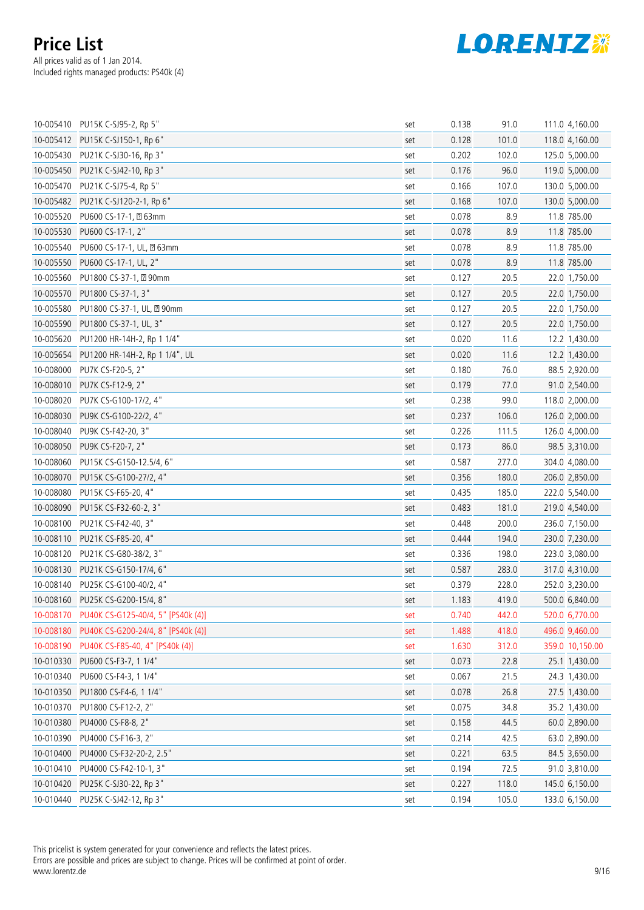

|           | 10-005410 PU15K C-SJ95-2, Rp 5"              | set | 0.138 | 91.0  | 111.0 4,160.00  |
|-----------|----------------------------------------------|-----|-------|-------|-----------------|
|           | 10-005412 PU15K C-SJ150-1, Rp 6"             | set | 0.128 | 101.0 | 118.0 4,160.00  |
| 10-005430 | PU21K C-SJ30-16, Rp 3"                       | set | 0.202 | 102.0 | 125.0 5,000.00  |
|           | 10-005450 PU21K C-SJ42-10, Rp 3"             | set | 0.176 | 96.0  | 119.0 5,000.00  |
|           | 10-005470 PU21K C-SJ75-4, Rp 5"              | set | 0.166 | 107.0 | 130.0 5,000.00  |
|           | 10-005482 PU21K C-SJ120-2-1, Rp 6"           | set | 0.168 | 107.0 | 130.0 5,000.00  |
| 10-005520 | PU600 CS-17-1, 263mm                         | set | 0.078 | 8.9   | 11.8 785.00     |
|           | 10-005530 PU600 CS-17-1, 2"                  | set | 0.078 | 8.9   | 11.8 785.00     |
| 10-005540 | PU600 CS-17-1, UL, 263mm                     | set | 0.078 | 8.9   | 11.8 785.00     |
| 10-005550 | PU600 CS-17-1, UL, 2"                        | set | 0.078 | 8.9   | 11.8 785.00     |
| 10-005560 | PU1800 CS-37-1, 290mm                        | set | 0.127 | 20.5  | 22.0 1,750.00   |
|           | 10-005570 PU1800 CS-37-1, 3"                 | set | 0.127 | 20.5  | 22.0 1,750.00   |
| 10-005580 | PU1800 CS-37-1, UL, 290mm                    | set | 0.127 | 20.5  | 22.0 1,750.00   |
|           | 10-005590 PU1800 CS-37-1, UL, 3"             | set | 0.127 | 20.5  | 22.0 1,750.00   |
| 10-005620 | PU1200 HR-14H-2, Rp 1 1/4"                   | set | 0.020 | 11.6  | 12.2 1,430.00   |
|           | 10-005654 PU1200 HR-14H-2, Rp 1 1/4", UL     | set | 0.020 | 11.6  | 12.2 1,430.00   |
| 10-008000 | PU7K CS-F20-5, 2"                            | set | 0.180 | 76.0  | 88.5 2,920.00   |
|           | 10-008010 PU7K CS-F12-9, 2"                  | set | 0.179 | 77.0  | 91.0 2,540.00   |
| 10-008020 | PU7K CS-G100-17/2, 4"                        | set | 0.238 | 99.0  | 118.0 2,000.00  |
|           | 10-008030 PU9K CS-G100-22/2, 4"              | set | 0.237 | 106.0 | 126.0 2,000.00  |
| 10-008040 | PU9K CS-F42-20, 3"                           | set | 0.226 | 111.5 | 126.0 4,000.00  |
| 10-008050 | PU9K CS-F20-7, 2"                            | set | 0.173 | 86.0  | 98.5 3,310.00   |
| 10-008060 | PU15K CS-G150-12.5/4, 6"                     | set | 0.587 | 277.0 | 304.0 4,080.00  |
|           | 10-008070 PU15K CS-G100-27/2, 4"             | set | 0.356 | 180.0 | 206.0 2,850.00  |
| 10-008080 | PU15K CS-F65-20, 4"                          | set | 0.435 | 185.0 | 222.0 5,540.00  |
| 10-008090 | PU15K CS-F32-60-2, 3"                        | set | 0.483 | 181.0 | 219.0 4,540.00  |
| 10-008100 | PU21K CS-F42-40, 3"                          | set | 0.448 | 200.0 | 236.0 7,150.00  |
| 10-008110 | PU21K CS-F85-20, 4"                          | set | 0.444 | 194.0 | 230.0 7,230.00  |
| 10-008120 | PU21K CS-G80-38/2, 3"                        | set | 0.336 | 198.0 | 223.0 3,080.00  |
|           | 10-008130 PU21K CS-G150-17/4, 6"             | set | 0.587 | 283.0 | 317.0 4,310.00  |
| 10-008140 | PU25K CS-G100-40/2, 4"                       | set | 0.379 | 228.0 | 252.0 3,230.00  |
|           | 10-008160 PU25K CS-G200-15/4, 8"             | set | 1.183 | 419.0 | 500.0 6,840.00  |
|           | 10-008170 PU40K CS-G125-40/4, 5" [PS40k (4)] | set | 0.740 | 442.0 | 520.0 6,770.00  |
|           | 10-008180 PU40K CS-G200-24/4, 8" [PS40k (4)] | set | 1.488 | 418.0 | 496.0 9,460.00  |
|           | 10-008190 PU40K CS-F85-40, 4" [PS40k (4)]    | set | 1.630 | 312.0 | 359.0 10,150.00 |
| 10-010330 | PU600 CS-F3-7, 1 1/4"                        | set | 0.073 | 22.8  | 25.1 1,430.00   |
| 10-010340 | PU600 CS-F4-3, 1 1/4"                        | set | 0.067 | 21.5  | 24.3 1,430.00   |
|           | 10-010350 PU1800 CS-F4-6, 1 1/4"             | set | 0.078 | 26.8  | 27.5 1,430.00   |
| 10-010370 | PU1800 CS-F12-2, 2"                          | set | 0.075 | 34.8  | 35.2 1,430.00   |
| 10-010380 | PU4000 CS-F8-8, 2"                           | set | 0.158 | 44.5  | 60.0 2,890.00   |
| 10-010390 | PU4000 CS-F16-3, 2"                          | set | 0.214 | 42.5  | 63.0 2,890.00   |
| 10-010400 | PU4000 CS-F32-20-2, 2.5"                     | set | 0.221 | 63.5  | 84.5 3,650.00   |
| 10-010410 | PU4000 CS-F42-10-1, 3"                       | set | 0.194 | 72.5  | 91.0 3,810.00   |
| 10-010420 | PU25K C-SJ30-22, Rp 3"                       | set | 0.227 | 118.0 | 145.0 6,150.00  |
| 10-010440 | PU25K C-SJ42-12, Rp 3"                       | set | 0.194 | 105.0 | 133.0 6,150.00  |

This pricelist is system generated for your convenience and reflects the latest prices.

Errors are possible and prices are subject to change. Prices will be confirmed at point of order. www.lorentz.de 9/16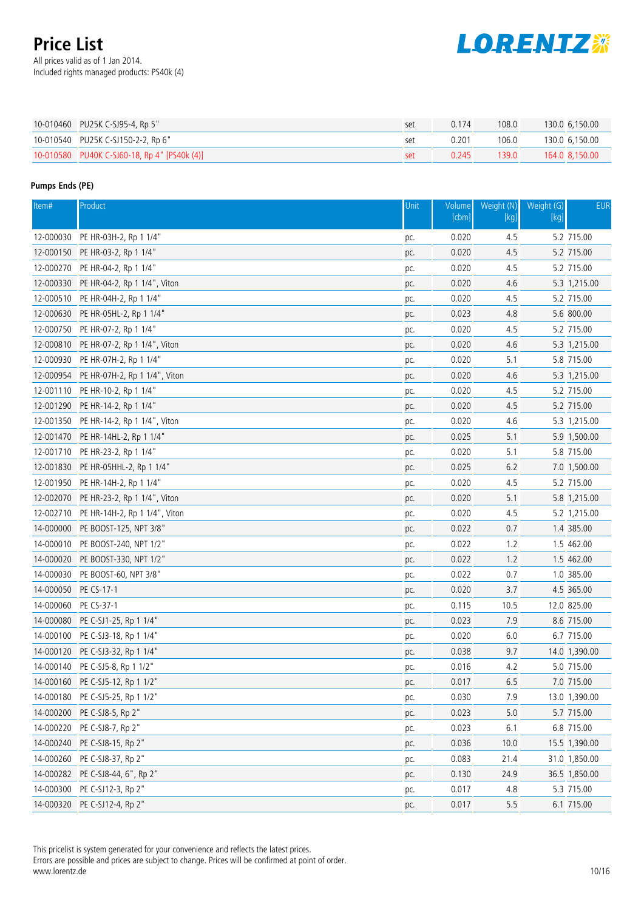All prices valid as of 1 Jan 2014. Included rights managed products: PS40k (4)



| 10-010460 PU25K C-SJ95-4, Rp 5"              | set | 0.174 | 108.0 | 130.0 6.150.00 |
|----------------------------------------------|-----|-------|-------|----------------|
| 10-010540 PU25K C-SJ150-2-2, Rp 6"           | SAT | 0.201 | 106.0 | 130.0 6.150.00 |
| 10-010580 PU40K C-SJ60-18, Rp 4" [PS40k (4)] | set | 0.245 | 139.0 | 164.0 8.150.00 |

### **Pumps Ends (PE)**

| Item#                | Product                                 | Unit       | Volume<br>[cbm] | Weight (N)<br>[kg] | Weight (G)<br>[kg] | <b>EUR</b>    |
|----------------------|-----------------------------------------|------------|-----------------|--------------------|--------------------|---------------|
| 12-000030            | PE HR-03H-2, Rp 1 1/4"                  |            | 0.020           | 4.5                |                    | 5.2 715.00    |
|                      | 12-000150 PE HR-03-2, Rp 1 1/4"         | pc.<br>pc. | 0.020           | 4.5                |                    | 5.2 715.00    |
|                      | 12-000270 PE HR-04-2, Rp 1 1/4"         | pc.        | 0.020           | 4.5                |                    | 5.2 715.00    |
|                      | 12-000330 PE HR-04-2, Rp 1 1/4", Viton  | pc.        | 0.020           | 4.6                |                    | 5.3 1,215.00  |
|                      | 12-000510 PE HR-04H-2, Rp 1 1/4"        | pc.        | 0.020           | 4.5                |                    | 5.2 715.00    |
| 12-000630            | PE HR-05HL-2, Rp 1 1/4"                 | pc.        | 0.023           | 4.8                |                    | 5.6 800.00    |
|                      | 12-000750 PE HR-07-2, Rp 1 1/4"         | pc.        | 0.020           | 4.5                |                    | 5.2 715.00    |
| 12-000810            | PE HR-07-2, Rp 1 1/4", Viton            | pc.        | 0.020           | 4.6                |                    | 5.3 1,215.00  |
| 12-000930            | PE HR-07H-2, Rp 1 1/4"                  | pc.        | 0.020           | 5.1                |                    | 5.8 715.00    |
|                      | 12-000954 PE HR-07H-2, Rp 1 1/4", Viton | pc.        | 0.020           | 4.6                |                    | 5.3 1,215.00  |
|                      | 12-001110 PE HR-10-2, Rp 1 1/4"         | pc.        | 0.020           | 4.5                |                    | 5.2 715.00    |
|                      | 12-001290 PE HR-14-2, Rp 1 1/4"         | pc.        | 0.020           | 4.5                |                    | 5.2 715.00    |
| 12-001350            | PE HR-14-2, Rp 1 1/4", Viton            | pc.        | 0.020           | 4.6                |                    | 5.3 1,215.00  |
| 12-001470            | PE HR-14HL-2, Rp 1 1/4"                 | pc.        | 0.025           | 5.1                |                    | 5.9 1,500.00  |
|                      | 12-001710 PE HR-23-2, Rp 1 1/4"         | pc.        | 0.020           | 5.1                |                    | 5.8 715.00    |
|                      | 12-001830 PE HR-05HHL-2, Rp 1 1/4"      | pc.        | 0.025           | 6.2                |                    | 7.0 1,500.00  |
|                      | 12-001950 PE HR-14H-2, Rp 1 1/4"        | pc.        | 0.020           | 4.5                |                    | 5.2 715.00    |
|                      | 12-002070 PE HR-23-2, Rp 1 1/4", Viton  | pc.        | 0.020           | 5.1                |                    | 5.8 1,215.00  |
|                      | 12-002710 PE HR-14H-2, Rp 1 1/4", Viton | pc.        | 0.020           | 4.5                |                    | 5.2 1,215.00  |
|                      | 14-000000 PE BOOST-125, NPT 3/8"        | pc.        | 0.022           | 0.7                |                    | 1.4 385.00    |
|                      | 14-000010 PE BOOST-240, NPT 1/2"        | pc.        | 0.022           | 1.2                |                    | 1.5 462.00    |
|                      | 14-000020 PE BOOST-330, NPT 1/2"        | pc.        | 0.022           | 1.2                |                    | 1.5 462.00    |
| 14-000030            | PE BOOST-60, NPT 3/8"                   | pc.        | 0.022           | 0.7                |                    | 1.0 385.00    |
| 14-000050 PE CS-17-1 |                                         | pc.        | 0.020           | 3.7                |                    | 4.5 365.00    |
| 14-000060            | PE CS-37-1                              | pc.        | 0.115           | 10.5               |                    | 12.0 825.00   |
|                      | 14-000080 PE C-SJ1-25, Rp 1 1/4"        | pc.        | 0.023           | 7.9                |                    | 8.6 715.00    |
|                      | 14-000100 PE C-SJ3-18, Rp 1 1/4"        | pc.        | 0.020           | 6.0                |                    | 6.7 715.00    |
|                      | 14-000120 PE C-SJ3-32, Rp 1 1/4"        | pc.        | 0.038           | 9.7                |                    | 14.0 1,390.00 |
|                      | 14-000140 PE C-SJ5-8, Rp 1 1/2"         | pc.        | 0.016           | 4.2                |                    | 5.0 715.00    |
|                      | 14-000160 PE C-SJ5-12, Rp 1 1/2"        | pc.        | 0.017           | 6.5                |                    | 7.0 715.00    |
|                      | 14-000180 PE C-SJ5-25, Rp 1 1/2"        | pc.        | 0.030           | 7.9                |                    | 13.0 1,390.00 |
| 14-000200            | PE C-SJ8-5, Rp 2"                       | pc.        | 0.023           | 5.0                |                    | 5.7 715.00    |
| 14-000220            | PE C-SJ8-7, Rp 2"                       | pc.        | 0.023           | 6.1                |                    | 6.8 715.00    |
|                      | 14-000240 PE C-SJ8-15, Rp 2"            | pc.        | 0.036           | 10.0               |                    | 15.5 1,390.00 |
|                      | 14-000260 PE C-SJ8-37, Rp 2"            | pc.        | 0.083           | 21.4               |                    | 31.0 1,850.00 |
|                      | 14-000282 PE C-SJ8-44, 6", Rp 2"        | pc.        | 0.130           | 24.9               |                    | 36.5 1,850.00 |
| 14-000300            | PE C-SJ12-3, Rp 2"                      | pc.        | 0.017           | 4.8                |                    | 5.3 715.00    |
|                      | 14-000320 PE C-SJ12-4, Rp 2"            | pc.        | 0.017           | 5.5                |                    | 6.1 715.00    |

This pricelist is system generated for your convenience and reflects the latest prices.

Errors are possible and prices are subject to change. Prices will be confirmed at point of order. www.lorentz.de 10/16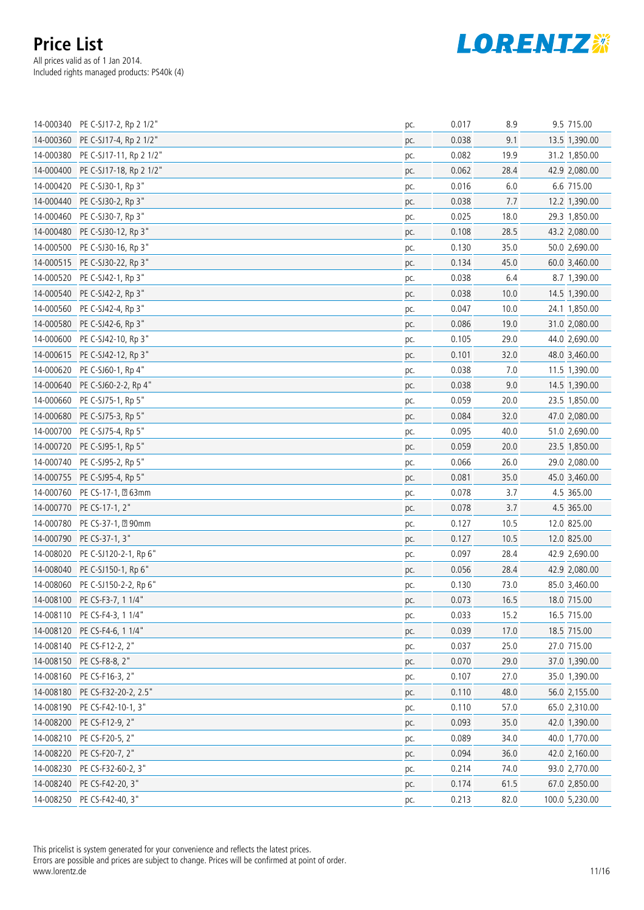

|           | 14-000340 PE C-SJ17-2, Rp 2 1/2"  | pc. | 0.017 | 8.9  | 9.5 715.00     |
|-----------|-----------------------------------|-----|-------|------|----------------|
|           | 14-000360 PE C-SJ17-4, Rp 2 1/2"  | pc. | 0.038 | 9.1  | 13.5 1,390.00  |
|           | 14-000380 PE C-SJ17-11, Rp 2 1/2" | pc. | 0.082 | 19.9 | 31.2 1,850.00  |
|           | 14-000400 PE C-SJ17-18, Rp 2 1/2" | pc. | 0.062 | 28.4 | 42.9 2,080.00  |
|           | 14-000420 PE C-SJ30-1, Rp 3"      | pc. | 0.016 | 6.0  | 6.6 715.00     |
|           | 14-000440 PE C-SJ30-2, Rp 3"      | pc. | 0.038 | 7.7  | 12.2 1,390.00  |
|           | 14-000460 PE C-SJ30-7, Rp 3"      | pc. | 0.025 | 18.0 | 29.3 1,850.00  |
|           | 14-000480 PE C-SJ30-12, Rp 3"     | pc. | 0.108 | 28.5 | 43.2 2,080.00  |
|           | 14-000500 PE C-SJ30-16, Rp 3"     | pc. | 0.130 | 35.0 | 50.0 2,690.00  |
|           | 14-000515 PE C-SJ30-22, Rp 3"     | pc. | 0.134 | 45.0 | 60.0 3,460.00  |
| 14-000520 | PE C-SJ42-1, Rp 3"                | pc. | 0.038 | 6.4  | 8.7 1,390.00   |
|           | 14-000540 PE C-SJ42-2, Rp 3"      | pc. | 0.038 | 10.0 | 14.5 1,390.00  |
|           | 14-000560 PE C-SJ42-4, Rp 3"      | pc. | 0.047 | 10.0 | 24.1 1,850.00  |
|           | 14-000580 PE C-SJ42-6, Rp 3"      | pc. | 0.086 | 19.0 | 31.0 2,080.00  |
| 14-000600 | PE C-SJ42-10, Rp 3"               | pc. | 0.105 | 29.0 | 44.0 2,690.00  |
|           | 14-000615 PE C-SJ42-12, Rp 3"     | pc. | 0.101 | 32.0 | 48.0 3,460.00  |
|           | 14-000620 PE C-SJ60-1, Rp 4"      | pc. | 0.038 | 7.0  | 11.5 1,390.00  |
| 14-000640 | PE C-SJ60-2-2, Rp 4"              | pc. | 0.038 | 9.0  | 14.5 1,390.00  |
|           | 14-000660 PE C-SJ75-1, Rp 5"      | pc. | 0.059 | 20.0 | 23.5 1,850.00  |
|           | 14-000680 PE C-SJ75-3, Rp 5"      | pc. | 0.084 | 32.0 | 47.0 2,080.00  |
|           | 14-000700 PE C-SJ75-4, Rp 5"      | pc. | 0.095 | 40.0 | 51.0 2,690.00  |
|           | 14-000720 PE C-SJ95-1, Rp 5"      | pc. | 0.059 | 20.0 | 23.5 1,850.00  |
|           | 14-000740 PE C-SJ95-2, Rp 5"      | pc. | 0.066 | 26.0 | 29.0 2,080.00  |
|           | 14-000755 PE C-SJ95-4, Rp 5"      | pc. | 0.081 | 35.0 | 45.0 3,460.00  |
|           | 14-000760 PE CS-17-1, 263mm       | pc. | 0.078 | 3.7  | 4.5 365.00     |
|           | 14-000770 PE CS-17-1, 2"          | pc. | 0.078 | 3.7  | 4.5 365.00     |
|           | 14-000780 PE CS-37-1, 290mm       | pc. | 0.127 | 10.5 | 12.0 825.00    |
|           | 14-000790 PE CS-37-1, 3"          | pc. | 0.127 | 10.5 | 12.0 825.00    |
|           | 14-008020 PE C-SJ120-2-1, Rp 6"   | pc. | 0.097 | 28.4 | 42.9 2,690.00  |
|           | 14-008040 PE C-SJ150-1, Rp 6"     | pc. | 0.056 | 28.4 | 42.9 2,080.00  |
|           | 14-008060 PE C-SJ150-2-2, Rp 6"   | pc. | 0.130 | 73.0 | 85.0 3,460.00  |
|           | 14-008100 PE CS-F3-7, 1 1/4"      | pc. | 0.073 | 16.5 | 18.0 715.00    |
|           | 14-008110 PE CS-F4-3, 1 1/4"      | pc. | 0.033 | 15.2 | 16.5 715.00    |
|           | 14-008120 PE CS-F4-6, 1 1/4"      | pc. | 0.039 | 17.0 | 18.5 715.00    |
|           | 14-008140 PE CS-F12-2, 2"         | pc. | 0.037 | 25.0 | 27.0 715.00    |
|           | 14-008150 PE CS-F8-8, 2"          | pc. | 0.070 | 29.0 | 37.0 1,390.00  |
| 14-008160 | PE CS-F16-3, 2"                   | pc. | 0.107 | 27.0 | 35.0 1,390.00  |
|           | 14-008180 PE CS-F32-20-2, 2.5"    | pc. | 0.110 | 48.0 | 56.0 2,155.00  |
|           | 14-008190 PE CS-F42-10-1, 3"      | pc. | 0.110 | 57.0 | 65.0 2,310.00  |
|           | 14-008200 PE CS-F12-9, 2"         | pc. | 0.093 | 35.0 | 42.0 1,390.00  |
| 14-008210 | PE CS-F20-5, 2"                   | pc. | 0.089 | 34.0 | 40.0 1,770.00  |
|           | 14-008220 PE CS-F20-7, 2"         | pc. | 0.094 | 36.0 | 42.0 2,160.00  |
|           | 14-008230 PE CS-F32-60-2, 3"      | pc. | 0.214 | 74.0 | 93.0 2,770.00  |
|           | 14-008240 PE CS-F42-20, 3"        | pc. | 0.174 | 61.5 | 67.0 2,850.00  |
|           | 14-008250 PE CS-F42-40, 3"        | pc. | 0.213 | 82.0 | 100.0 5,230.00 |

This pricelist is system generated for your convenience and reflects the latest prices. Errors are possible and prices are subject to change. Prices will be confirmed at point of order.

www.lorentz.de 11/16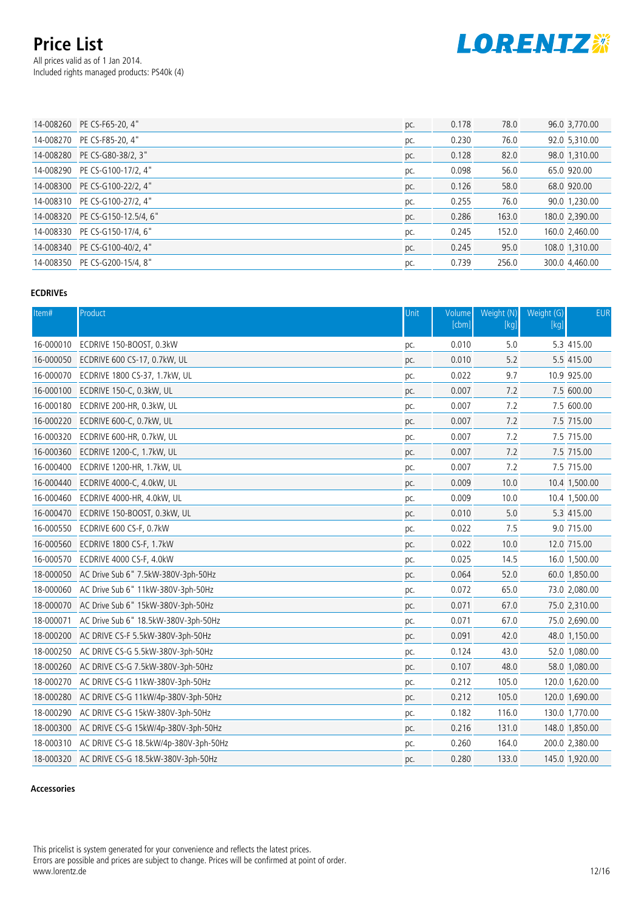All prices valid as of 1 Jan 2014. Included rights managed products: PS40k (4)



| 14-008260 PE CS-F65-20, 4"      | pc. | 0.178 | 78.0  | 96.0 3,770.00  |
|---------------------------------|-----|-------|-------|----------------|
| 14-008270 PE CS-F85-20, 4"      | pc. | 0.230 | 76.0  | 92.0 5,310.00  |
| 14-008280 PE CS-G80-38/2, 3"    | pc. | 0.128 | 82.0  | 98.0 1,310.00  |
| 14-008290 PE CS-G100-17/2, 4"   | pc. | 0.098 | 56.0  | 65.0 920.00    |
| 14-008300 PE CS-G100-22/2, 4"   | pc. | 0.126 | 58.0  | 68.0 920.00    |
| 14-008310 PE CS-G100-27/2, 4"   | pc. | 0.255 | 76.0  | 90.0 1,230.00  |
| 14-008320 PE CS-G150-12.5/4, 6" | pc. | 0.286 | 163.0 | 180.0 2,390.00 |
| 14-008330 PE CS-G150-17/4, 6"   | pc. | 0.245 | 152.0 | 160.0 2,460.00 |
| 14-008340 PE CS-G100-40/2, 4"   | pc. | 0.245 | 95.0  | 108.0 1,310.00 |
| 14-008350 PE CS-G200-15/4, 8"   | pc. | 0.739 | 256.0 | 300.0 4,460.00 |
|                                 |     |       |       |                |

### **ECDRIVEs**

| Item#     | Product                                         | Unit | Volume<br>[cbm] | Weight (N)<br>$[kg] % \begin{center} % \includegraphics[width=\textwidth]{images/Trigers.png} % \end{center} % \caption { % \textit{DefNet} of the \textit{DefNet} (MSE) and the \textit{DefNet} (MSE) and the \textit{DefNet} (MSE) and the \textit{DefNet} (MSE) and the \textit{DefNet} (MSE) and the \textit{DefNet} (MSE) and the \textit{DefNet} (MSE) and the \textit{DefNet} (MSE) and the \textit{DefNet} (MSE) and the \textit{DefNet} (MSE) and the \textit{DefNet} (MSE) and the \textit{DefNet} (MSE) and the \textit{DefNet} (MSE) and the \textit{Def$ | Weight (G)<br>[kg] | <b>EUR</b>     |
|-----------|-------------------------------------------------|------|-----------------|-----------------------------------------------------------------------------------------------------------------------------------------------------------------------------------------------------------------------------------------------------------------------------------------------------------------------------------------------------------------------------------------------------------------------------------------------------------------------------------------------------------------------------------------------------------------------|--------------------|----------------|
| 16-000010 | ECDRIVE 150-BOOST, 0.3kW                        | pc.  | 0.010           | 5.0                                                                                                                                                                                                                                                                                                                                                                                                                                                                                                                                                                   |                    | 5.3 415.00     |
|           | 16-000050 ECDRIVE 600 CS-17, 0.7kW, UL          | pc.  | 0.010           | 5.2                                                                                                                                                                                                                                                                                                                                                                                                                                                                                                                                                                   |                    | 5.5 415.00     |
| 16-000070 | ECDRIVE 1800 CS-37, 1.7kW, UL                   | pc.  | 0.022           | 9.7                                                                                                                                                                                                                                                                                                                                                                                                                                                                                                                                                                   |                    | 10.9 925.00    |
|           | 16-000100 ECDRIVE 150-C, 0.3kW, UL              | pc.  | 0.007           | 7.2                                                                                                                                                                                                                                                                                                                                                                                                                                                                                                                                                                   |                    | 7.5 600.00     |
|           | 16-000180 ECDRIVE 200-HR, 0.3kW, UL             | pc.  | 0.007           | 7.2                                                                                                                                                                                                                                                                                                                                                                                                                                                                                                                                                                   |                    | 7.5 600.00     |
|           | 16-000220 ECDRIVE 600-C, 0.7kW, UL              | pc.  | 0.007           | 7.2                                                                                                                                                                                                                                                                                                                                                                                                                                                                                                                                                                   |                    | 7.5 715.00     |
| 16-000320 | ECDRIVE 600-HR, 0.7kW, UL                       | pc.  | 0.007           | 7.2                                                                                                                                                                                                                                                                                                                                                                                                                                                                                                                                                                   |                    | 7.5 715.00     |
| 16-000360 | ECDRIVE 1200-C, 1.7kW, UL                       | pc.  | 0.007           | 7.2                                                                                                                                                                                                                                                                                                                                                                                                                                                                                                                                                                   |                    | 7.5 715.00     |
| 16-000400 | ECDRIVE 1200-HR, 1.7kW, UL                      | pc.  | 0.007           | 7.2                                                                                                                                                                                                                                                                                                                                                                                                                                                                                                                                                                   |                    | 7.5 715.00     |
| 16-000440 | ECDRIVE 4000-C, 4.0kW, UL                       | pc.  | 0.009           | 10.0                                                                                                                                                                                                                                                                                                                                                                                                                                                                                                                                                                  |                    | 10.4 1,500.00  |
| 16-000460 | ECDRIVE 4000-HR, 4.0kW, UL                      | pc.  | 0.009           | 10.0                                                                                                                                                                                                                                                                                                                                                                                                                                                                                                                                                                  |                    | 10.4 1,500.00  |
| 16-000470 | ECDRIVE 150-BOOST, 0.3kW, UL                    | pc.  | 0.010           | 5.0                                                                                                                                                                                                                                                                                                                                                                                                                                                                                                                                                                   |                    | 5.3 415.00     |
|           | 16-000550 ECDRIVE 600 CS-F, 0.7kW               | pc.  | 0.022           | 7.5                                                                                                                                                                                                                                                                                                                                                                                                                                                                                                                                                                   |                    | 9.0 715.00     |
| 16-000560 | <b>ECDRIVE 1800 CS-F, 1.7kW</b>                 | pc.  | 0.022           | 10.0                                                                                                                                                                                                                                                                                                                                                                                                                                                                                                                                                                  |                    | 12.0 715.00    |
| 16-000570 | ECDRIVE 4000 CS-F, 4.0kW                        | pc.  | 0.025           | 14.5                                                                                                                                                                                                                                                                                                                                                                                                                                                                                                                                                                  |                    | 16.0 1,500.00  |
| 18-000050 | AC Drive Sub 6" 7.5kW-380V-3ph-50Hz             | pc.  | 0.064           | 52.0                                                                                                                                                                                                                                                                                                                                                                                                                                                                                                                                                                  |                    | 60.0 1,850.00  |
| 18-000060 | AC Drive Sub 6" 11kW-380V-3ph-50Hz              | pc.  | 0.072           | 65.0                                                                                                                                                                                                                                                                                                                                                                                                                                                                                                                                                                  |                    | 73.0 2,080.00  |
| 18-000070 | AC Drive Sub 6" 15kW-380V-3ph-50Hz              | pc.  | 0.071           | 67.0                                                                                                                                                                                                                                                                                                                                                                                                                                                                                                                                                                  |                    | 75.0 2,310.00  |
| 18-000071 | AC Drive Sub 6" 18.5kW-380V-3ph-50Hz            | pc.  | 0.071           | 67.0                                                                                                                                                                                                                                                                                                                                                                                                                                                                                                                                                                  |                    | 75.0 2,690.00  |
| 18-000200 | AC DRIVE CS-F 5.5kW-380V-3ph-50Hz               | pc.  | 0.091           | 42.0                                                                                                                                                                                                                                                                                                                                                                                                                                                                                                                                                                  |                    | 48.0 1,150.00  |
| 18-000250 | AC DRIVE CS-G 5.5kW-380V-3ph-50Hz               | pc.  | 0.124           | 43.0                                                                                                                                                                                                                                                                                                                                                                                                                                                                                                                                                                  |                    | 52.0 1,080.00  |
| 18-000260 | AC DRIVE CS-G 7.5kW-380V-3ph-50Hz               | pc.  | 0.107           | 48.0                                                                                                                                                                                                                                                                                                                                                                                                                                                                                                                                                                  |                    | 58.0 1,080.00  |
|           | 18-000270 AC DRIVE CS-G 11kW-380V-3ph-50Hz      | pc.  | 0.212           | 105.0                                                                                                                                                                                                                                                                                                                                                                                                                                                                                                                                                                 |                    | 120.0 1,620.00 |
| 18-000280 | AC DRIVE CS-G 11kW/4p-380V-3ph-50Hz             | pc.  | 0.212           | 105.0                                                                                                                                                                                                                                                                                                                                                                                                                                                                                                                                                                 |                    | 120.0 1,690.00 |
| 18-000290 | AC DRIVE CS-G 15kW-380V-3ph-50Hz                | pc.  | 0.182           | 116.0                                                                                                                                                                                                                                                                                                                                                                                                                                                                                                                                                                 |                    | 130.0 1,770.00 |
| 18-000300 | AC DRIVE CS-G 15kW/4p-380V-3ph-50Hz             | pc.  | 0.216           | 131.0                                                                                                                                                                                                                                                                                                                                                                                                                                                                                                                                                                 |                    | 148.0 1,850.00 |
|           | 18-000310 AC DRIVE CS-G 18.5kW/4p-380V-3ph-50Hz | pc.  | 0.260           | 164.0                                                                                                                                                                                                                                                                                                                                                                                                                                                                                                                                                                 |                    | 200.0 2,380.00 |
|           | 18-000320 AC DRIVE CS-G 18.5kW-380V-3ph-50Hz    | pc.  | 0.280           | 133.0                                                                                                                                                                                                                                                                                                                                                                                                                                                                                                                                                                 |                    | 145.0 1,920.00 |

#### **Accessories**

This pricelist is system generated for your convenience and reflects the latest prices. Errors are possible and prices are subject to change. Prices will be confirmed at point of order. www.lorentz.de 12/16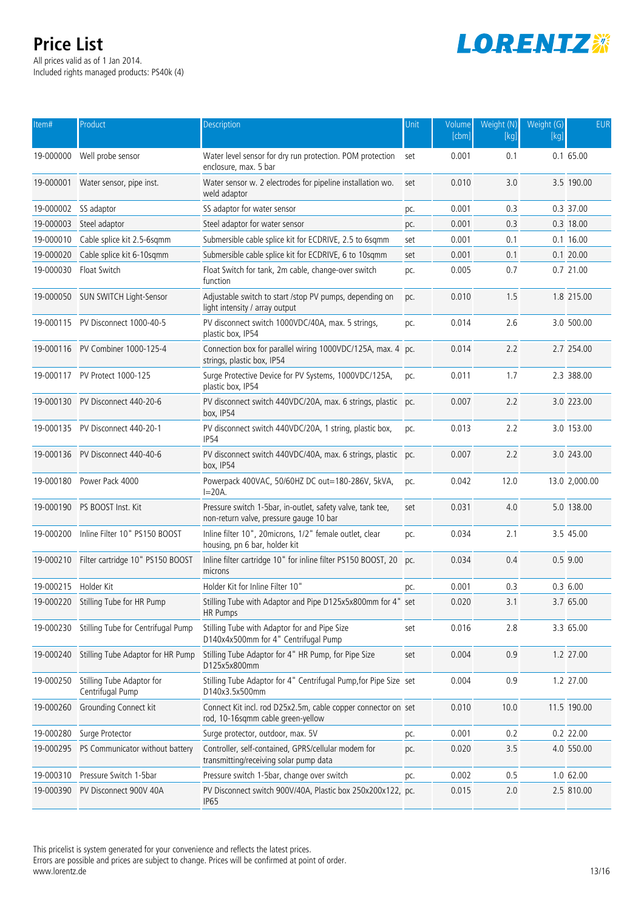All prices valid as of 1 Jan 2014. Included rights managed products: PS40k (4)



| Item#                | Product                                       | Description                                                                                           | Unit | Volume<br>[cbm] | Weight (N)<br>$[kg]$ | Weight $(G)$<br>[kq] | <b>EUR</b>    |
|----------------------|-----------------------------------------------|-------------------------------------------------------------------------------------------------------|------|-----------------|----------------------|----------------------|---------------|
| 19-000000            | Well probe sensor                             | Water level sensor for dry run protection. POM protection<br>enclosure, max. 5 bar                    | set  | 0.001           | 0.1                  |                      | $0.1\,65.00$  |
| 19-000001            | Water sensor, pipe inst.                      | Water sensor w. 2 electrodes for pipeline installation wo.<br>weld adaptor                            | set  | 0.010           | 3.0                  |                      | 3.5 190.00    |
| 19-000002            | SS adaptor                                    | SS adaptor for water sensor                                                                           | pc.  | 0.001           | 0.3                  |                      | 0.3 37.00     |
| 19-000003            | Steel adaptor                                 | Steel adaptor for water sensor                                                                        | pc.  | 0.001           | 0.3                  |                      | 0.3 18.00     |
| 19-000010            | Cable splice kit 2.5-6sqmm                    | Submersible cable splice kit for ECDRIVE, 2.5 to 6sqmm                                                | set  | 0.001           | 0.1                  |                      | $0.1$ 16.00   |
| 19-000020            | Cable splice kit 6-10sqmm                     | Submersible cable splice kit for ECDRIVE, 6 to 10sqmm                                                 | set  | 0.001           | 0.1                  |                      | $0.1$ 20.00   |
| 19-000030            | Float Switch                                  | Float Switch for tank, 2m cable, change-over switch<br>function                                       | pc.  | 0.005           | 0.7                  |                      | 0.7 21.00     |
|                      | 19-000050 SUN SWITCH Light-Sensor             | Adjustable switch to start /stop PV pumps, depending on<br>light intensity / array output             | pc.  | 0.010           | 1.5                  |                      | 1.8 215.00    |
|                      | 19-000115 PV Disconnect 1000-40-5             | PV disconnect switch 1000VDC/40A, max. 5 strings,<br>plastic box, IP54                                | pc.  | 0.014           | 2.6                  |                      | 3.0 500.00    |
|                      | 19-000116 PV Combiner 1000-125-4              | Connection box for parallel wiring 1000VDC/125A, max. 4 pc.<br>strings, plastic box, IP54             |      | 0.014           | 2.2                  |                      | 2.7 254.00    |
|                      | 19-000117 PV Protect 1000-125                 | Surge Protective Device for PV Systems, 1000VDC/125A,<br>plastic box, IP54                            | pc.  | 0.011           | 1.7                  |                      | 2.3 388.00    |
|                      | 19-000130 PV Disconnect 440-20-6              | PV disconnect switch 440VDC/20A, max. 6 strings, plastic pc.<br>box, IP54                             |      | 0.007           | 2.2                  |                      | 3.0 223.00    |
|                      | 19-000135 PV Disconnect 440-20-1              | PV disconnect switch 440VDC/20A, 1 string, plastic box,<br><b>IP54</b>                                | pc.  | 0.013           | 2.2                  |                      | 3.0 153.00    |
|                      | 19-000136 PV Disconnect 440-40-6              | PV disconnect switch 440VDC/40A, max. 6 strings, plastic pc.<br>box, IP54                             |      | 0.007           | 2.2                  |                      | 3.0 243.00    |
|                      | 19-000180 Power Pack 4000                     | Powerpack 400VAC, 50/60HZ DC out=180-286V, 5kVA,<br>$I = 20A$ .                                       | pc.  | 0.042           | 12.0                 |                      | 13.0 2,000.00 |
|                      | 19-000190 PS BOOST Inst. Kit                  | Pressure switch 1-5bar, in-outlet, safety valve, tank tee,<br>non-return valve, pressure gauge 10 bar | set  | 0.031           | 4.0                  |                      | 5.0 138.00    |
| 19-000200            | Inline Filter 10" PS150 BOOST                 | Inline filter 10", 20microns, 1/2" female outlet, clear<br>housing, pn 6 bar, holder kit              | pc.  | 0.034           | 2.1                  |                      | 3.5 45.00     |
|                      | 19-000210 Filter cartridge 10" PS150 BOOST    | Inline filter cartridge 10" for inline filter PS150 BOOST, 20<br>microns                              | pc.  | 0.034           | 0.4                  |                      | $0.5$ 9.00    |
| 19-000215 Holder Kit |                                               | Holder Kit for Inline Filter 10"                                                                      | pc.  | 0.001           | 0.3                  |                      | 0.36.00       |
|                      | 19-000220 Stilling Tube for HR Pump           | Stilling Tube with Adaptor and Pipe D125x5x800mm for 4" set<br><b>HR Pumps</b>                        |      | 0.020           | 3.1                  |                      | 3.7 65.00     |
|                      | 19-000230 Stilling Tube for Centrifugal Pump  | Stilling Tube with Adaptor for and Pipe Size<br>D140x4x500mm for 4" Centrifugal Pump                  | set  | 0.016           | 2.8                  |                      | 3.3 65.00     |
| 19-000240            | Stilling Tube Adaptor for HR Pump             | Stilling Tube Adaptor for 4" HR Pump, for Pipe Size<br>D125x5x800mm                                   | set  | 0.004           | 0.9                  |                      | 1.2 27.00     |
| 19-000250            | Stilling Tube Adaptor for<br>Centrifugal Pump | Stilling Tube Adaptor for 4" Centrifugal Pump, for Pipe Size set<br>D140x3.5x500mm                    |      | 0.004           | 0.9                  |                      | 1.2 27.00     |
| 19-000260            | Grounding Connect kit                         | Connect Kit incl. rod D25x2.5m, cable copper connector on set<br>rod, 10-16sqmm cable green-yellow    |      | 0.010           | 10.0                 |                      | 11.5 190.00   |
| 19-000280            | Surge Protector                               | Surge protector, outdoor, max. 5V                                                                     | pc.  | 0.001           | 0.2                  |                      | 0.2 22.00     |
| 19-000295            | PS Communicator without battery               | Controller, self-contained, GPRS/cellular modem for<br>transmitting/receiving solar pump data         | pc.  | 0.020           | 3.5                  |                      | 4.0 550.00    |
| 19-000310            | Pressure Switch 1-5bar                        | Pressure switch 1-5bar, change over switch                                                            | pc.  | 0.002           | 0.5                  |                      | 1.0 62.00     |
| 19-000390            | PV Disconnect 900V 40A                        | PV Disconnect switch 900V/40A, Plastic box 250x200x122, pc.<br><b>IP65</b>                            |      | 0.015           | 2.0                  |                      | 2.5 810.00    |

This pricelist is system generated for your convenience and reflects the latest prices. Errors are possible and prices are subject to change. Prices will be confirmed at point of order.

www.lorentz.de 13/16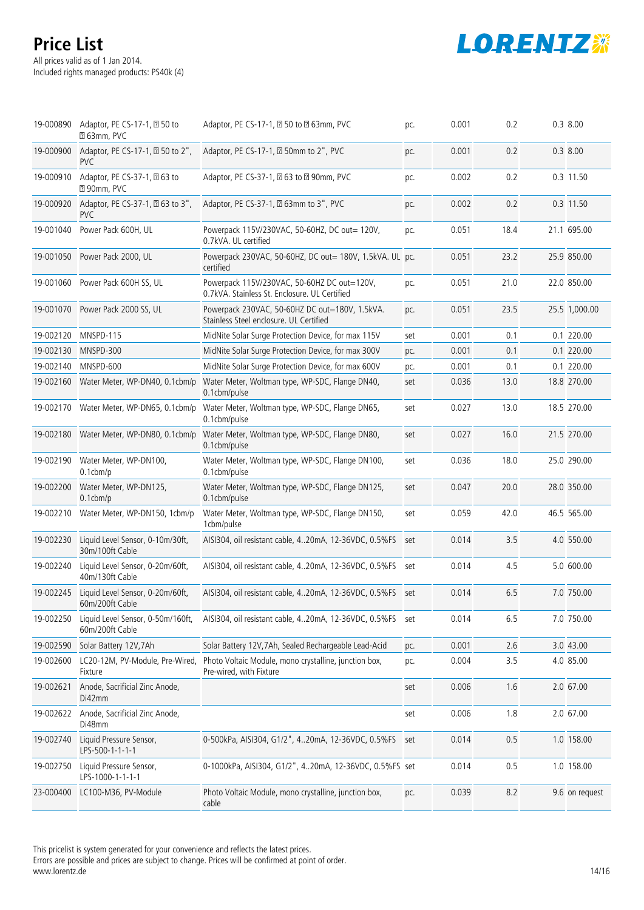# **LORENTZ※**

# **Price List**

All prices valid as of 1 Jan 2014. Included rights managed products: PS40k (4)

|           | 19-000890 Adaptor, PE CS-17-1, 20 50 to<br><b>263mm, PVC</b> | Adaptor, PE CS-17-1, 2 50 to 2 63mm, PVC                                                     | pc. | 0.001 | 0.2  | $0.3$ 8.00     |
|-----------|--------------------------------------------------------------|----------------------------------------------------------------------------------------------|-----|-------|------|----------------|
| 19-000900 | Adaptor, PE CS-17-1, 2 50 to 2",<br><b>PVC</b>               | Adaptor, PE CS-17-1, 2 50mm to 2", PVC                                                       | pc. | 0.001 | 0.2  | $0.3$ 8.00     |
| 19-000910 | Adaptor, PE CS-37-1, 20 63 to<br><b>290mm, PVC</b>           | Adaptor, PE CS-37-1, 20 63 to 20 90mm, PVC                                                   | pc. | 0.002 | 0.2  | 0.3 11.50      |
| 19-000920 | Adaptor, PE CS-37-1, 20 63 to 3",<br><b>PVC</b>              | Adaptor, PE CS-37-1, 20 63mm to 3", PVC                                                      | pc. | 0.002 | 0.2  | 0.3 11.50      |
| 19-001040 | Power Pack 600H, UL                                          | Powerpack 115V/230VAC, 50-60HZ, DC out= 120V,<br>0.7kVA. UL certified                        | pc. | 0.051 | 18.4 | 21.1 695.00    |
|           | 19-001050 Power Pack 2000, UL                                | Powerpack 230VAC, 50-60HZ, DC out= 180V, 1.5kVA. UL pc.<br>certified                         |     | 0.051 | 23.2 | 25.9 850.00    |
|           | 19-001060 Power Pack 600H SS, UL                             | Powerpack 115V/230VAC, 50-60HZ DC out=120V,<br>0.7kVA. Stainless St. Enclosure. UL Certified | pc. | 0.051 | 21.0 | 22.0 850.00    |
|           | 19-001070 Power Pack 2000 SS, UL                             | Powerpack 230VAC, 50-60HZ DC out=180V, 1.5kVA.<br>Stainless Steel enclosure. UL Certified    | pc. | 0.051 | 23.5 | 25.5 1,000.00  |
|           | 19-002120 MNSPD-115                                          | MidNite Solar Surge Protection Device, for max 115V                                          | set | 0.001 | 0.1  | 0.1 220.00     |
| 19-002130 | MNSPD-300                                                    | MidNite Solar Surge Protection Device, for max 300V                                          | pc. | 0.001 | 0.1  | 0.1 220.00     |
| 19-002140 | MNSPD-600                                                    | MidNite Solar Surge Protection Device, for max 600V                                          | pc. | 0.001 | 0.1  | 0.1 220.00     |
|           | 19-002160 Water Meter, WP-DN40, 0.1cbm/p                     | Water Meter, Woltman type, WP-SDC, Flange DN40,<br>0.1cbm/pulse                              | set | 0.036 | 13.0 | 18.8 270.00    |
|           | 19-002170 Water Meter, WP-DN65, 0.1cbm/p                     | Water Meter, Woltman type, WP-SDC, Flange DN65,<br>0.1cbm/pulse                              | set | 0.027 | 13.0 | 18.5 270.00    |
|           | 19-002180 Water Meter, WP-DN80, 0.1cbm/p                     | Water Meter, Woltman type, WP-SDC, Flange DN80,<br>0.1cbm/pulse                              | set | 0.027 | 16.0 | 21.5 270.00    |
| 19-002190 | Water Meter, WP-DN100,<br>$0.1$ cbm/p                        | Water Meter, Woltman type, WP-SDC, Flange DN100,<br>0.1cbm/pulse                             | set | 0.036 | 18.0 | 25.0 290.00    |
| 19-002200 | Water Meter, WP-DN125,<br>$0.1$ cbm/p                        | Water Meter, Woltman type, WP-SDC, Flange DN125,<br>0.1cbm/pulse                             | set | 0.047 | 20.0 | 28.0 350.00    |
| 19-002210 | Water Meter, WP-DN150, 1cbm/p                                | Water Meter, Woltman type, WP-SDC, Flange DN150,<br>1cbm/pulse                               | set | 0.059 | 42.0 | 46.5 565.00    |
| 19-002230 | Liquid Level Sensor, 0-10m/30ft,<br>30m/100ft Cable          | AISI304, oil resistant cable, 420mA, 12-36VDC, 0.5%FS                                        | set | 0.014 | 3.5  | 4.0 550.00     |
| 19-002240 | Liquid Level Sensor, 0-20m/60ft,<br>40m/130ft Cable          | AISI304, oil resistant cable, 420mA, 12-36VDC, 0.5%FS set                                    |     | 0.014 | 4.5  | 5.0 600.00     |
| 19-002245 | Liquid Level Sensor, 0-20m/60ft,<br>60m/200ft Cable          | AISI304, oil resistant cable, 420mA, 12-36VDC, 0.5%FS set                                    |     | 0.014 | 6.5  | 7.0 750.00     |
| 19-002250 | Liquid Level Sensor, 0-50m/160ft,<br>60m/200ft Cable         | AISI304, oil resistant cable, 420mA, 12-36VDC, 0.5%FS                                        | set | 0.014 | 6.5  | 7.0 750.00     |
| 19-002590 | Solar Battery 12V, 7Ah                                       | Solar Battery 12V, 7Ah, Sealed Rechargeable Lead-Acid                                        | pc. | 0.001 | 2.6  | 3.0 43.00      |
| 19-002600 | LC20-12M, PV-Module, Pre-Wired,<br>Fixture                   | Photo Voltaic Module, mono crystalline, junction box,<br>Pre-wired, with Fixture             | pc. | 0.004 | 3.5  | 4.0 85.00      |
| 19-002621 | Anode, Sacrificial Zinc Anode,<br>Di42mm                     |                                                                                              | set | 0.006 | 1.6  | 2.0 67.00      |
| 19-002622 | Anode, Sacrificial Zinc Anode,<br>Di48mm                     |                                                                                              | set | 0.006 | 1.8  | 2.0 67.00      |
| 19-002740 | Liquid Pressure Sensor,<br>LPS-500-1-1-1-1                   | 0-500kPa, AISI304, G1/2", 420mA, 12-36VDC, 0.5%FS                                            | set | 0.014 | 0.5  | 1.0 158.00     |
| 19-002750 | Liquid Pressure Sensor,<br>LPS-1000-1-1-1-1                  | 0-1000kPa, AISI304, G1/2", 420mA, 12-36VDC, 0.5%FS set                                       |     | 0.014 | 0.5  | 1.0 158.00     |
| 23-000400 | LC100-M36, PV-Module                                         | Photo Voltaic Module, mono crystalline, junction box,<br>cable                               | pc. | 0.039 | 8.2  | 9.6 on request |

This pricelist is system generated for your convenience and reflects the latest prices.

Errors are possible and prices are subject to change. Prices will be confirmed at point of order. www.lorentz.de 14/16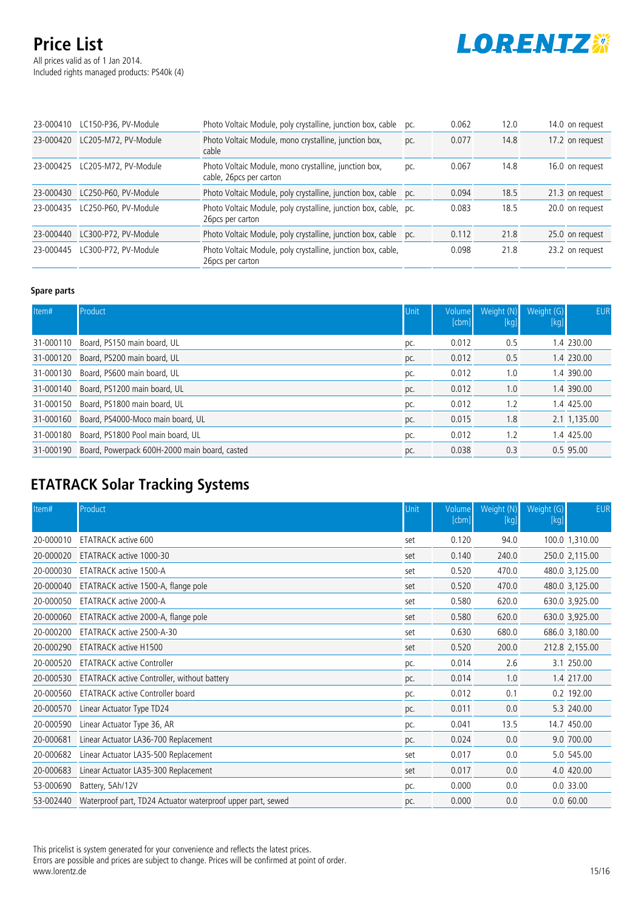All prices valid as of 1 Jan 2014. Included rights managed products: PS40k (4)



| 23-000410 | LC150-P36, PV-Module | Photo Voltaic Module, poly crystalline, junction box, cable                          | pc. | 0.062 | 12.0 | 14.0 on request |
|-----------|----------------------|--------------------------------------------------------------------------------------|-----|-------|------|-----------------|
| 23-000420 | LC205-M72, PV-Module | Photo Voltaic Module, mono crystalline, junction box,<br>cable                       | pc. | 0.077 | 14.8 | 17.2 on request |
| 23-000425 | LC205-M72, PV-Module | Photo Voltaic Module, mono crystalline, junction box,<br>cable, 26pcs per carton     | pc. | 0.067 | 14.8 | 16.0 on request |
| 23-000430 | LC250-P60, PV-Module | Photo Voltaic Module, poly crystalline, junction box, cable pc.                      |     | 0.094 | 18.5 | 21.3 on request |
| 23-000435 | LC250-P60. PV-Module | Photo Voltaic Module, poly crystalline, junction box, cable, pc.<br>26pcs per carton |     | 0.083 | 18.5 | 20.0 on request |
| 23-000440 | LC300-P72, PV-Module | Photo Voltaic Module, poly crystalline, junction box, cable pc.                      |     | 0.112 | 21.8 | 25.0 on request |
| 23-000445 | LC300-P72, PV-Module | Photo Voltaic Module, poly crystalline, junction box, cable,<br>26 pcs per carton    |     | 0.098 | 21.8 | 23.2 on request |

#### **Spare parts**

| Item#     | Product                                       | Unit | Volume<br>[cbm] | Weight (N)<br>[kg] | Weight (G)<br>[kg] | <b>EUR</b>   |
|-----------|-----------------------------------------------|------|-----------------|--------------------|--------------------|--------------|
| 31-000110 | Board, PS150 main board, UL                   | pc.  | 0.012           | 0.5                |                    | 1.4 230.00   |
| 31-000120 | Board, PS200 main board, UL                   | pc.  | 0.012           | 0.5                |                    | 1.4 230.00   |
| 31-000130 | Board, PS600 main board, UL                   | pc.  | 0.012           | 1.0                |                    | 1.4 390.00   |
|           | 31-000140 Board, PS1200 main board, UL        | pc.  | 0.012           | 1.0                |                    | 1.4 390.00   |
| 31-000150 | Board, PS1800 main board, UL                  | pc.  | 0.012           | 1.2                |                    | 1.4 425.00   |
|           | 31-000160 Board, PS4000-Moco main board, UL   | pc.  | 0.015           | 1.8                |                    | 2.1 1,135.00 |
| 31-000180 | Board, PS1800 Pool main board, UL             | pc.  | 0.012           | 1.2                |                    | 1.4 425.00   |
| 31-000190 | Board, Powerpack 600H-2000 main board, casted | pc.  | 0.038           | 0.3                |                    | 0.5 95.00    |

# **ETATRACK Solar Tracking Systems**

| Item#     | Product                                                     | Unit | Volume<br>[cbm] | Weight (N)<br>[kg] | Weight (G)<br>[kg] | <b>EUR</b>     |
|-----------|-------------------------------------------------------------|------|-----------------|--------------------|--------------------|----------------|
| 20-000010 | ETATRACK active 600                                         | set  | 0.120           | 94.0               |                    | 100.0 1,310.00 |
| 20-000020 | ETATRACK active 1000-30                                     | set  | 0.140           | 240.0              |                    | 250.0 2,115.00 |
| 20-000030 | ETATRACK active 1500-A                                      | set  | 0.520           | 470.0              |                    | 480.0 3,125.00 |
| 20-000040 | ETATRACK active 1500-A, flange pole                         | set  | 0.520           | 470.0              |                    | 480.0 3,125.00 |
| 20-000050 | ETATRACK active 2000-A                                      | set  | 0.580           | 620.0              |                    | 630.0 3,925.00 |
| 20-000060 | ETATRACK active 2000-A, flange pole                         | set  | 0.580           | 620.0              |                    | 630.0 3,925.00 |
| 20-000200 | ETATRACK active 2500-A-30                                   | set  | 0.630           | 680.0              |                    | 686.0 3,180.00 |
| 20-000290 | <b>ETATRACK active H1500</b>                                | set  | 0.520           | 200.0              |                    | 212.8 2,155.00 |
| 20-000520 | <b>ETATRACK active Controller</b>                           | pc.  | 0.014           | 2.6                |                    | 3.1 250.00     |
| 20-000530 | ETATRACK active Controller, without battery                 | pc.  | 0.014           | 1.0                |                    | 1.4 217.00     |
| 20-000560 | <b>ETATRACK active Controller board</b>                     | pc.  | 0.012           | 0.1                |                    | 0.2 192.00     |
| 20-000570 | Linear Actuator Type TD24                                   | pc.  | 0.011           | 0.0                |                    | 5.3 240.00     |
| 20-000590 | Linear Actuator Type 36, AR                                 | pc.  | 0.041           | 13.5               |                    | 14.7 450.00    |
| 20-000681 | Linear Actuator LA36-700 Replacement                        | pc.  | 0.024           | 0.0                |                    | 9.0 700.00     |
| 20-000682 | Linear Actuator LA35-500 Replacement                        | set  | 0.017           | 0.0                |                    | 5.0 545.00     |
| 20-000683 | Linear Actuator LA35-300 Replacement                        | set  | 0.017           | 0.0                |                    | 4.0 420.00     |
| 53-000690 | Battery, 5Ah/12V                                            | pc.  | 0.000           | 0.0                |                    | 0.033.00       |
| 53-002440 | Waterproof part, TD24 Actuator waterproof upper part, sewed | pc.  | 0.000           | 0.0                |                    | 0.060.00       |

This pricelist is system generated for your convenience and reflects the latest prices. Errors are possible and prices are subject to change. Prices will be confirmed at point of order. www.lorentz.de 15/16